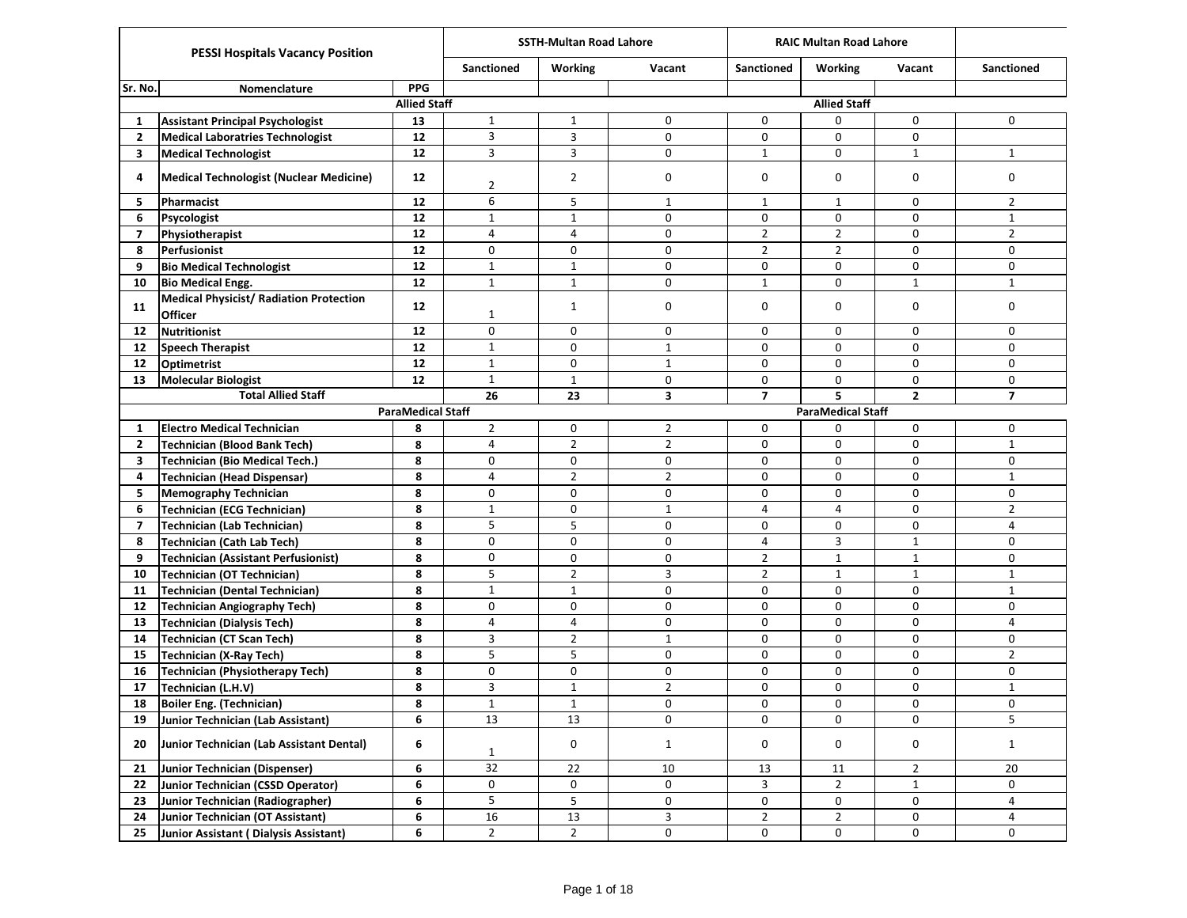|                |                                                                  |                          |                   | <b>SSTH-Multan Road Lahore</b> |                     |                   | <b>RAIC Multan Road Lahore</b> |                |                   |
|----------------|------------------------------------------------------------------|--------------------------|-------------------|--------------------------------|---------------------|-------------------|--------------------------------|----------------|-------------------|
|                | <b>PESSI Hospitals Vacancy Position</b>                          |                          | <b>Sanctioned</b> | Working                        | Vacant              | <b>Sanctioned</b> | <b>Working</b>                 | Vacant         | <b>Sanctioned</b> |
| Sr. No.        | Nomenclature                                                     | <b>PPG</b>               |                   |                                |                     |                   |                                |                |                   |
|                |                                                                  | <b>Allied Staff</b>      |                   |                                |                     |                   | <b>Allied Staff</b>            |                |                   |
| -1             | <b>Assistant Principal Psychologist</b>                          | 13                       | $\mathbf{1}$      | $\mathbf{1}$                   | 0                   | 0                 | 0                              | 0              | $\mathbf 0$       |
| $\overline{2}$ | <b>Medical Laboratries Technologist</b>                          | 12                       | 3                 | 3                              | 0                   | 0                 | $\mathbf 0$                    | 0              |                   |
| 3              | <b>Medical Technologist</b>                                      | 12                       | 3                 | 3                              | 0                   | $\mathbf{1}$      | $\mathbf 0$                    | $\mathbf{1}$   | $\mathbf{1}$      |
| 4              | <b>Medical Technologist (Nuclear Medicine)</b>                   | 12                       | $\overline{2}$    | $\overline{2}$                 | 0                   | 0                 | 0                              | 0              | $\mathbf 0$       |
| 5              | Pharmacist                                                       | 12                       | 6                 | 5                              | $\mathbf{1}$        | $\mathbf{1}$      | $\mathbf{1}$                   | 0              | $\overline{2}$    |
| 6              | Psycologist                                                      | 12                       | $\mathbf 1$       | $\mathbf{1}$                   | 0                   | 0                 | $\mathbf 0$                    | 0              | $\mathbf{1}$      |
| $\overline{7}$ | Physiotherapist                                                  | 12                       | $\overline{4}$    | $\overline{4}$                 | 0                   | $\overline{2}$    | $\overline{2}$                 | 0              | $\overline{2}$    |
| 8              | Perfusionist                                                     | 12                       | 0                 | $\mathbf 0$                    | 0                   | $\overline{2}$    | $\overline{2}$                 | 0              | $\mathbf 0$       |
| 9              | <b>Bio Medical Technologist</b>                                  | 12                       | $1\,$             | $\mathbf{1}$                   | 0                   | 0                 | 0                              | 0              | $\mathbf 0$       |
| 10             | <b>Bio Medical Engg.</b>                                         | 12                       | $\mathbf 1$       | $\mathbf{1}$                   | $\pmb{0}$           | $\mathbf{1}$      | 0                              | $\mathbf{1}$   | $\mathbf{1}$      |
| 11             | <b>Medical Physicist/ Radiation Protection</b><br><b>Officer</b> | $12 \overline{ }$        | 1                 | $\mathbf{1}$                   | 0                   | 0                 | 0                              | 0              | $\mathbf 0$       |
| 12             | <b>Nutritionist</b>                                              | 12                       | 0                 | 0                              | 0                   | 0                 | 0                              | 0              | $\mathbf 0$       |
| 12             | <b>Speech Therapist</b>                                          | 12                       | $1\,$             | 0                              | $\mathbf{1}$        | 0                 | $\mathbf 0$                    | 0              | $\mathbf 0$       |
| 12             | <b>Optimetrist</b>                                               | 12                       | $\mathbf{1}$      | $\mathbf 0$                    | $\mathbf{1}$        | 0                 | 0                              | 0              | 0                 |
| 13             | <b>Molecular Biologist</b>                                       | 12                       | $\mathbf{1}$      | $\mathbf{1}$                   | 0                   | 0                 | 0                              | 0              | 0                 |
|                | <b>Total Allied Staff</b>                                        |                          | 26                | 23                             | 3                   | $\overline{7}$    | 5                              | $\overline{2}$ | $\overline{7}$    |
|                |                                                                  | <b>ParaMedical Staff</b> |                   |                                |                     |                   | <b>ParaMedical Staff</b>       |                |                   |
| 1              | <b>Electro Medical Technician</b>                                | 8                        | $\overline{2}$    | 0                              | $\overline{2}$      | 0                 | 0                              | 0              | 0                 |
| $\overline{2}$ | <b>Technician (Blood Bank Tech)</b>                              | 8                        | 4                 | $\overline{2}$                 | $\overline{2}$      | 0                 | 0                              | 0              | $\mathbf{1}$      |
| 3              | <b>Technician (Bio Medical Tech.)</b>                            | 8                        | 0                 | 0                              | 0                   | 0                 | $\mathbf 0$                    | 0              | $\mathbf 0$       |
| 4              | <b>Technician (Head Dispensar)</b>                               | 8                        | $\overline{4}$    | $\overline{2}$                 | $\overline{2}$      | 0                 | 0                              | 0              | $\mathbf{1}$      |
| 5              | <b>Memography Technician</b>                                     | 8                        | 0                 | 0                              | 0                   | 0                 | 0                              | 0              | $\mathbf 0$       |
| 6              | <b>Technician (ECG Technician)</b>                               | 8                        | $1\,$             | 0                              | $\mathbf{1}$        | 4                 | 4                              | 0              | $\overline{2}$    |
| $\overline{7}$ | <b>Technician (Lab Technician)</b>                               | 8                        | 5                 | 5                              | 0                   | 0                 | 0                              | 0              | $\overline{4}$    |
| 8              | <b>Technician (Cath Lab Tech)</b>                                | 8                        | 0                 | 0                              | 0                   | 4                 | 3                              | $\mathbf{1}$   | 0                 |
| 9              | <b>Technician (Assistant Perfusionist)</b>                       | 8                        | $\pmb{0}$         | 0                              | 0                   | $\overline{2}$    | $\mathbf{1}$                   | $\mathbf{1}$   | $\mathbf 0$       |
| 10             | <b>Technician (OT Technician)</b>                                | 8                        | 5                 | $\overline{2}$                 | 3                   | $\overline{2}$    | $\mathbf{1}$                   | $\mathbf{1}$   | $\mathbf{1}$      |
| 11             | <b>Technician (Dental Technician)</b>                            | 8                        | $\mathbf 1$       | $\mathbf{1}$                   | 0                   | 0                 | $\mathbf 0$                    | 0              | $\mathbf{1}$      |
| 12             | <b>Technician Angiography Tech)</b>                              | 8                        | 0                 | $\mathbf 0$                    | 0                   | 0                 | $\mathbf 0$                    | 0              | $\mathbf 0$       |
| 13             | <b>Technician (Dialysis Tech)</b>                                | 8                        | $\overline{4}$    | 4                              | 0                   | 0                 | $\mathbf 0$                    | 0              | $\overline{4}$    |
| 14             | Technician (CT Scan Tech)                                        | 8                        | 3                 | $\overline{2}$                 | $\mathbf{1}$        | 0                 | 0                              | $\mathbf 0$    | 0                 |
| 15             | <b>Technician (X-Ray Tech)</b>                                   | 8                        | 5                 | 5                              | 0                   | 0                 | 0                              | 0              | $\overline{2}$    |
| 16             | <b>Technician (Physiotherapy Tech)</b>                           | 8                        | 0                 | 0                              | 0                   | 0                 | 0                              | 0              | 0                 |
| 17             | Technician (L.H.V)                                               | 8                        | 3                 | $\mathbf{1}$                   | $\overline{2}$      | 0                 | 0                              | 0              | $1\,$             |
| 18             | Boiler Eng. (Technician)                                         | 8                        | $\mathbf 1$       | $\mathbf{1}$                   | 0                   | $\pmb{0}$         | 0                              | 0              | $\pmb{0}$         |
| 19             | Junior Technician (Lab Assistant)                                | 6                        | 13                | 13                             | 0                   | 0                 | $\mathbf 0$                    | $\mathbf 0$    | 5                 |
| 20             | Junior Technician (Lab Assistant Dental)                         | 6                        | $\mathbf{1}$      | $\mathsf 0$                    | $\mathbf{1}$        | 0                 | 0                              | 0              | $\mathbf{1}$      |
| 21             | Junior Technician (Dispenser)                                    | 6                        | $\overline{32}$   | 22                             | 10                  | $13\,$            | 11                             | $\overline{2}$ | 20                |
| 22             | Junior Technician (CSSD Operator)                                | 6                        | 0                 | 0                              | $\mathsf{O}$        | 3                 | $\overline{2}$                 | $\mathbf{1}$   | 0                 |
| 23             | Junior Technician (Radiographer)                                 | 6                        | 5                 | 5                              | $\mathsf{O}\xspace$ | 0                 | 0                              | 0              | 4                 |
| 24             | Junior Technician (OT Assistant)                                 | 6                        | 16                | $13\,$                         | 3                   | $\overline{2}$    | $\overline{2}$                 | 0              | 4                 |
| 25             | Junior Assistant (Dialysis Assistant)                            | 6                        | $\overline{2}$    | $\overline{2}$                 | 0                   | 0                 | 0                              | $\mathsf{O}$   | 0                 |
|                |                                                                  |                          |                   |                                |                     |                   |                                |                |                   |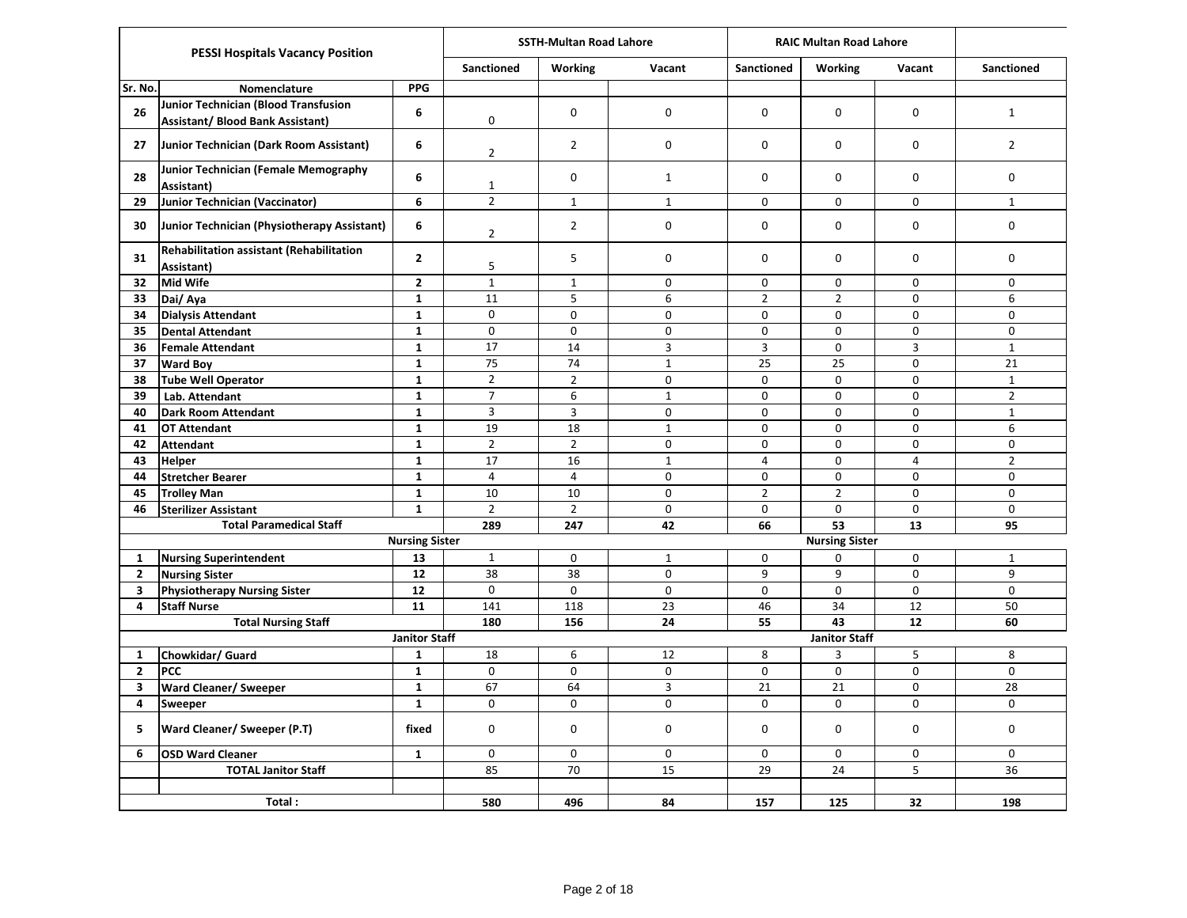|              | <b>PESSI Hospitals Vacancy Position</b>                                                |                              |                                  | <b>SSTH-Multan Road Lahore</b> |                          | <b>RAIC Multan Road Lahore</b> |                       |                          |                                |
|--------------|----------------------------------------------------------------------------------------|------------------------------|----------------------------------|--------------------------------|--------------------------|--------------------------------|-----------------------|--------------------------|--------------------------------|
|              |                                                                                        |                              | <b>Sanctioned</b>                | <b>Working</b>                 | Vacant                   | <b>Sanctioned</b>              | <b>Working</b>        | Vacant                   | <b>Sanctioned</b>              |
| Sr. No.      | Nomenclature                                                                           | <b>PPG</b>                   |                                  |                                |                          |                                |                       |                          |                                |
| 26           | <b>Junior Technician (Blood Transfusion</b><br><b>Assistant/ Blood Bank Assistant)</b> | 6                            | 0                                | $\mathbf 0$                    | $\Omega$                 | $\mathbf 0$                    | $\Omega$              | $\mathbf 0$              | $\mathbf{1}$                   |
| 27           | Junior Technician (Dark Room Assistant)                                                | 6                            | $\overline{2}$                   | $\overline{2}$                 | $\pmb{0}$                | 0                              | 0                     | $\mathbf 0$              | $\overline{2}$                 |
| 28           | Junior Technician (Female Memography<br>Assistant)                                     | 6                            | $\mathbf{1}$                     | $\mathbf 0$                    | $\mathbf{1}$             | 0                              | 0                     | $\mathbf 0$              | $\mathsf{O}$                   |
| 29           | <b>Junior Technician (Vaccinator)</b>                                                  | 6                            | $\overline{2}$                   | $\mathbf{1}$                   | $\mathbf{1}$             | $\mathbf 0$                    | $\mathbf 0$           | $\mathsf{O}$             | $\mathbf{1}$                   |
| 30           | Junior Technician (Physiotherapy Assistant)                                            | 6                            | $\overline{2}$                   | $\overline{2}$                 | $\pmb{0}$                | 0                              | 0                     | $\mathbf 0$              | 0                              |
| 31           | <b>Rehabilitation assistant (Rehabilitation</b><br>Assistant)                          | $\mathbf{2}$                 | 5                                | 5                              | 0                        | 0                              | 0                     | 0                        | 0                              |
| 32           | <b>Mid Wife</b>                                                                        | $\overline{2}$               | $\mathbf{1}$                     | $\mathbf{1}$                   | $\mathbf 0$              | $\mathbf 0$                    | 0                     | $\mathbf 0$              | $\mathbf 0$                    |
| 33           | Dai/Aya                                                                                | $\mathbf{1}$                 | 11                               | 5                              | 6                        | $\overline{2}$                 | $\overline{2}$        | $\mathbf 0$              | 6                              |
| 34           | <b>Dialysis Attendant</b>                                                              | $\mathbf{1}$                 | 0                                | 0                              | $\pmb{0}$                | 0                              | 0                     | $\pmb{0}$                | 0                              |
| 35           | <b>Dental Attendant</b>                                                                | $\mathbf 1$                  | $\mathbf 0$                      | 0                              | $\mathbf 0$              | $\pmb{0}$                      | 0                     | $\mathbf 0$              | 0                              |
| 36           | <b>Female Attendant</b>                                                                | $\mathbf{1}$                 | 17                               | 14                             | 3                        | 3                              | 0                     | 3                        | $\mathbf{1}$                   |
| 37           | <b>Ward Boy</b>                                                                        | $\mathbf{1}$                 | 75                               | 74                             | $\mathbf 1$              | 25                             | 25                    | 0                        | 21                             |
| 38           | <b>Tube Well Operator</b>                                                              | $\mathbf{1}$                 | $\overline{2}$<br>$\overline{7}$ | $\overline{2}$                 | $\Omega$                 | $\Omega$                       | $\Omega$              | $\Omega$                 | $\mathbf{1}$                   |
| 39           | Lab. Attendant                                                                         | $\mathbf{1}$<br>$\mathbf{1}$ | $\overline{3}$                   | 6<br>3                         | $\mathbf 1$<br>$\pmb{0}$ | 0<br>0                         | 0<br>$\mathbf 0$      | $\pmb{0}$<br>$\mathbf 0$ | $\overline{2}$<br>$\mathbf{1}$ |
| 40<br>41     | Dark Room Attendant<br><b>OT Attendant</b>                                             | $\mathbf{1}$                 | 19                               | 18                             | $\mathbf 1$              | $\mathbf 0$                    | 0                     | 0                        | 6                              |
| 42           | <b>Attendant</b>                                                                       | $\mathbf{1}$                 | $\overline{2}$                   | $\overline{2}$                 | $\pmb{0}$                | $\mathbf 0$                    | $\mathbf 0$           | 0                        | $\mathbf 0$                    |
| 43           | <b>Helper</b>                                                                          | $\mathbf{1}$                 | 17                               | 16                             | $\mathbf 1$              | $\overline{4}$                 | $\mathbf 0$           | $\overline{4}$           | $\overline{2}$                 |
| 44           | <b>Stretcher Bearer</b>                                                                | $\mathbf 1$                  | $\overline{4}$                   | $\overline{4}$                 | $\mathbf 0$              | $\mathbf 0$                    | $\mathbf 0$           | $\mathbf 0$              | $\mathsf{O}$                   |
| 45           | <b>Trolley Man</b>                                                                     | $\mathbf{1}$                 | 10                               | 10                             | 0                        | $\overline{2}$                 | $\overline{2}$        | 0                        | 0                              |
| 46           | <b>Sterilizer Assistant</b>                                                            | $\mathbf{1}$                 | $\overline{2}$                   | $\overline{2}$                 | $\mathbf 0$              | $\pmb{0}$                      | $\Omega$              | $\mathbf 0$              | $\pmb{0}$                      |
|              | <b>Total Paramedical Staff</b>                                                         |                              | 289                              | 247                            | 42                       | 66                             | 53                    | 13                       | 95                             |
|              |                                                                                        | <b>Nursing Sister</b>        |                                  |                                |                          |                                | <b>Nursing Sister</b> |                          |                                |
| $\mathbf{1}$ | <b>Nursing Superintendent</b>                                                          | 13                           | $\mathbf{1}$                     | 0                              | $\mathbf{1}$             | $\mathbf 0$                    | 0                     | $\mathbf 0$              | $\mathbf{1}$                   |
| $\mathbf{2}$ | <b>Nursing Sister</b>                                                                  | 12                           | 38                               | 38                             | $\mathbf 0$              | $\boldsymbol{9}$               | 9                     | $\mathbf 0$              | 9                              |
| 3            | <b>Physiotherapy Nursing Sister</b>                                                    | $\overline{12}$              | $\mathbf 0$                      | 0                              | $\mathbf 0$              | $\mathbf 0$                    | 0                     | $\mathbf 0$              | $\mathbf 0$                    |
| 4            | <b>Staff Nurse</b>                                                                     | 11                           | 141                              | 118                            | 23                       | 46                             | 34                    | 12                       | 50                             |
|              | <b>Total Nursing Staff</b>                                                             |                              | 180                              | 156                            | 24                       | 55                             | 43                    | 12                       | 60                             |
|              |                                                                                        | <b>Janitor Staff</b>         |                                  |                                |                          |                                | <b>Janitor Staff</b>  |                          |                                |
| 1            | Chowkidar/ Guard                                                                       | $\mathbf{1}$                 | 18                               | 6                              | 12                       | 8                              | 3                     | 5                        | 8                              |
| $\mathbf{2}$ | <b>PCC</b>                                                                             | $\mathbf 1$                  | 0                                | 0                              | $\pmb{0}$                | $\mathbf 0$                    | 0                     | $\pmb{0}$                | $\mathsf 0$                    |
| 3            | <b>Ward Cleaner/ Sweeper</b>                                                           | $\mathbf{1}$                 | 67                               | 64                             | $\mathsf{3}$             | 21                             | 21                    | $\mathbf 0$              | 28                             |
| 4            | Sweeper                                                                                | $\mathbf{1}$                 | 0                                | 0                              | $\pmb{0}$                | $\mathbf 0$                    | 0                     | $\mathbf 0$              | $\mathbf 0$                    |
| 5            | <b>Ward Cleaner/ Sweeper (P.T)</b>                                                     | fixed                        | 0                                | 0                              | 0                        | 0                              | 0                     | 0                        | 0                              |
| 6            | <b>OSD Ward Cleaner</b>                                                                | $\mathbf{1}$                 | 0                                | 0                              | $\mathbf 0$              | $\mathbf 0$                    | 0                     | 0                        | $\mathbf 0$                    |
|              | <b>TOTAL Janitor Staff</b>                                                             |                              | 85                               | 70                             | 15                       | 29                             | 24                    | 5                        | 36                             |
|              | Total:                                                                                 |                              | 580                              | 496                            | 84                       | 157                            | 125                   | 32                       | 198                            |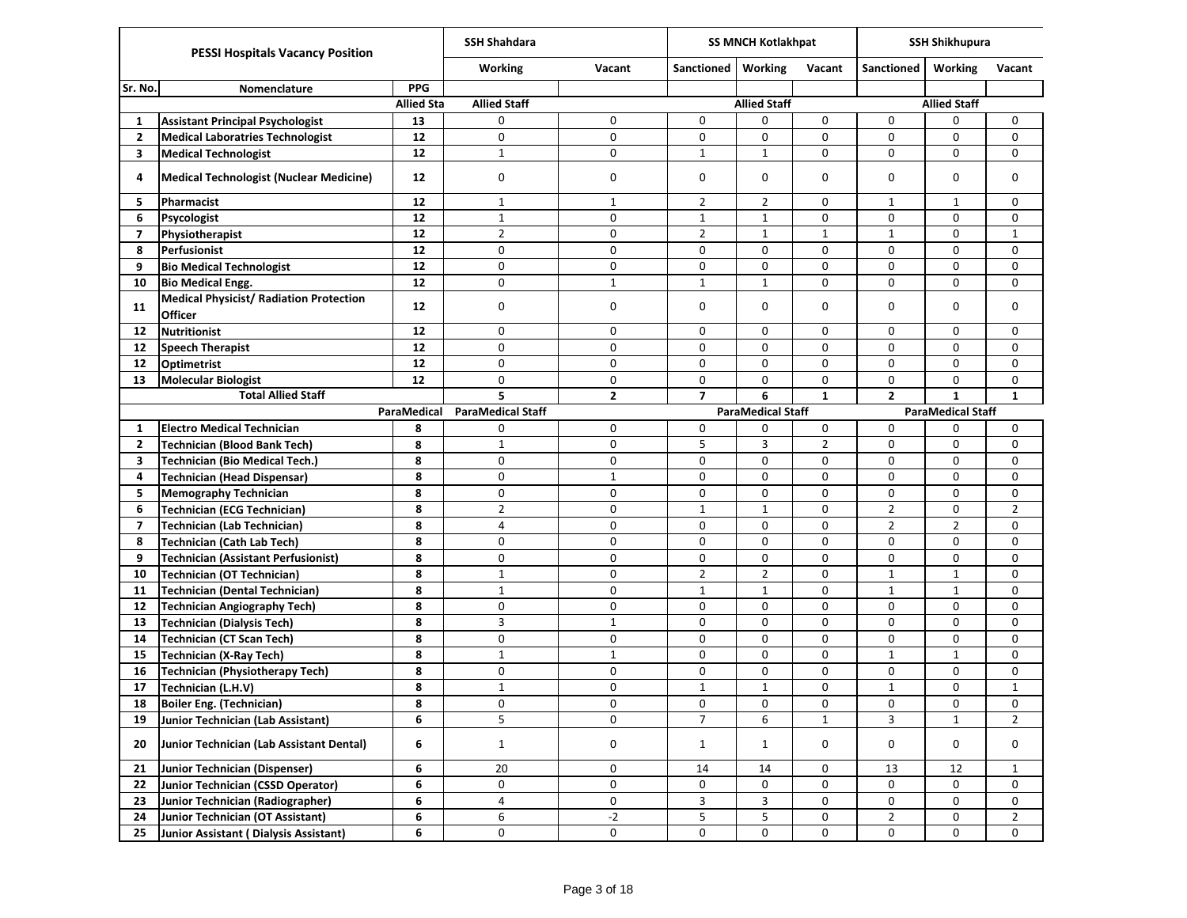|                          | <b>PESSI Hospitals Vacancy Position</b>                   |                   | <b>SSH Shahdara</b>      |              |                | <b>SS MNCH Kotlakhpat</b> |                |                   | <b>SSH Shikhupura</b>    |                |
|--------------------------|-----------------------------------------------------------|-------------------|--------------------------|--------------|----------------|---------------------------|----------------|-------------------|--------------------------|----------------|
|                          |                                                           |                   | Working                  | Vacant       | Sanctioned     | <b>Working</b>            | Vacant         | <b>Sanctioned</b> | Working                  | Vacant         |
| Sr. No.                  | Nomenclature                                              | <b>PPG</b>        |                          |              |                |                           |                |                   |                          |                |
|                          |                                                           | <b>Allied Sta</b> | <b>Allied Staff</b>      |              |                | <b>Allied Staff</b>       |                |                   | <b>Allied Staff</b>      |                |
| 1                        | <b>Assistant Principal Psychologist</b>                   | 13                | 0                        | 0            | 0              | 0                         | 0              | 0                 | 0                        | 0              |
| $\mathbf{2}$             | <b>Medical Laboratries Technologist</b>                   | 12                | 0                        | 0            | 0              | 0                         | 0              | $\mathbf 0$       | 0                        | 0              |
| 3                        | <b>Medical Technologist</b>                               | 12                | $\mathbf{1}$             | 0            | $\mathbf{1}$   | $\mathbf{1}$              | 0              | $\mathbf 0$       | 0                        | 0              |
| 4                        | Medical Technologist (Nuclear Medicine)                   | 12                | 0                        | 0            | 0              | 0                         | 0              | 0                 | 0                        | 0              |
| 5                        | Pharmacist                                                | 12                | $\mathbf{1}$             | $\mathbf{1}$ | $\overline{2}$ | $\overline{2}$            | 0              | $\mathbf{1}$      | 1                        | 0              |
| 6                        | Psycologist                                               | 12                | $\mathbf{1}$             | 0            | $\mathbf{1}$   | $\mathbf{1}$              | 0              | $\mathbf 0$       | 0                        | 0              |
| $\overline{\phantom{a}}$ | Physiotherapist                                           | 12                | $\overline{2}$           | 0            | $\overline{2}$ | $\mathbf{1}$              | $\mathbf{1}$   | $\mathbf{1}$      | 0                        | $\mathbf{1}$   |
| 8                        | Perfusionist                                              | 12                | 0                        | 0            | 0              | $\mathbf 0$               | 0              | 0                 | 0                        | 0              |
| 9                        | <b>Bio Medical Technologist</b>                           | 12                | 0                        | 0            | 0              | 0                         | 0              | 0                 | $\mathbf 0$              | 0              |
| 10                       | <b>Bio Medical Engg.</b>                                  | 12                | 0                        | $\mathbf{1}$ | $\mathbf{1}$   | $\mathbf{1}$              | 0              | 0                 | 0                        | $\mathbf 0$    |
| 11                       | <b>Medical Physicist/ Radiation Protection</b><br>Officer | 12                | 0                        | 0            | 0              | $\mathbf 0$               | 0              | $\mathbf 0$       | $\Omega$                 | $\mathbf 0$    |
| 12                       | <b>Nutritionist</b>                                       | 12                | 0                        | 0            | 0              | 0                         | 0              | $\mathbf 0$       | $\mathbf 0$              | $\mathbf 0$    |
| $12 \overline{ }$        | <b>Speech Therapist</b>                                   | 12                | 0                        | 0            | 0              | 0                         | 0              | $\mathbf 0$       | 0                        | 0              |
| 12                       | <b>Optimetrist</b>                                        | 12                | 0                        | 0            | 0              | $\mathbf 0$               | 0              | 0                 | 0                        | 0              |
| 13                       | <b>Molecular Biologist</b>                                | 12                | 0                        | 0            | 0              | 0                         | 0              | $\mathbf 0$       | 0                        | 0              |
|                          | <b>Total Allied Staff</b>                                 |                   | 5                        | $\mathbf{z}$ | $\overline{ }$ | 6                         | $\mathbf{1}$   | $\overline{2}$    | $\mathbf{1}$             | $\mathbf{1}$   |
|                          |                                                           | ParaMedical       | <b>ParaMedical Staff</b> |              |                | <b>ParaMedical Staff</b>  |                |                   | <b>ParaMedical Staff</b> |                |
| 1                        | <b>Electro Medical Technician</b>                         | 8                 | 0                        | 0            | 0              | 0                         | 0              | 0                 | 0                        | 0              |
| 2                        | <b>Technician (Blood Bank Tech)</b>                       | 8                 | $\mathbf 1$              | 0            | 5              | 3                         | $\overline{2}$ | 0                 | 0                        | 0              |
| 3                        | <b>Technician (Bio Medical Tech.)</b>                     | 8                 | 0                        | 0            | 0              | 0                         | 0              | $\mathbf 0$       | 0                        | 0              |
| 4                        | Technician (Head Dispensar)                               | 8                 | 0                        | $\mathbf{1}$ | 0              | 0                         | 0              | $\mathbf 0$       | 0                        | 0              |
| 5                        | <b>Memography Technician</b>                              | 8                 | 0                        | 0            | 0              | 0                         | 0              | $\mathbf 0$       | 0                        | 0              |
| 6                        | <b>Technician (ECG Technician)</b>                        | 8                 | 2                        | 0            | $\mathbf{1}$   | $\mathbf{1}$              | 0              | $\overline{2}$    | 0                        | $\overline{2}$ |
| $\overline{ }$           | <b>Technician (Lab Technician)</b>                        | 8                 | 4                        | 0            | 0              | $\mathbf 0$               | 0              | $\overline{2}$    | $\overline{2}$           | 0              |
| 8                        | <b>Technician (Cath Lab Tech)</b>                         | 8                 | 0                        | 0            | 0              | 0                         | 0              | $\mathbf 0$       | 0                        | 0              |
| 9                        | <b>Technician (Assistant Perfusionist)</b>                | 8                 | 0                        | 0            | 0              | $\mathbf 0$               | 0              | $\mathbf 0$       | 0                        | 0              |
| 10                       | <b>Technician (OT Technician)</b>                         | 8                 | $\mathbf{1}$             | 0            | $\overline{2}$ | $\overline{2}$            | 0              | $\mathbf{1}$      | $\mathbf{1}$             | 0              |
| 11                       | <b>Technician (Dental Technician)</b>                     | 8                 | $\mathbf{1}$             | 0            | $\mathbf{1}$   | $\mathbf{1}$              | 0              | $\mathbf{1}$      | $\mathbf{1}$             | 0              |
| 12                       | <b>Technician Angiography Tech)</b>                       | 8                 | 0                        | 0            | 0              | $\mathbf 0$               | 0              | 0                 | $\mathbf 0$              | 0              |
| 13                       | <b>Technician (Dialysis Tech)</b>                         | 8                 | 3                        | $\mathbf{1}$ | 0              | 0                         | 0              | $\mathbf 0$       | 0                        | 0              |
| 14                       | <b>Technician (CT Scan Tech)</b>                          | 8                 | 0                        | 0            | 0              | $\mathbf 0$               | 0              | $\mathbf 0$       | $\Omega$                 | 0              |
| 15                       | <b>Technician (X-Ray Tech)</b>                            | 8                 | $\mathbf 1$              | $\mathbf{1}$ | 0              | 0                         | 0              | $\mathbf{1}$      | $\mathbf{1}$             | $\mathbf 0$    |
| 16                       | <b>Technician (Physiotherapy Tech)</b>                    | 8                 | 0                        | 0            | 0              | 0                         | 0              | 0                 | 0                        | 0              |
| 17                       | Technician (L.H.V)                                        | 8                 | $\mathbf 1$              | 0            | $\mathbf 1$    | $\mathbf 1$               | 0              | $\mathbf{1}$      | 0                        | $1\,$          |
| 18                       | Boiler Eng. (Technician)                                  | 8                 | 0                        | 0            | $\pmb{0}$      | $\pmb{0}$                 | 0              | $\mathsf 0$       | 0                        | 0              |
| 19                       | Junior Technician (Lab Assistant)                         | 6                 | 5                        | 0            | $\overline{7}$ | 6                         | $\mathbf{1}$   | 3                 | $\mathbf{1}$             | $\overline{2}$ |
| 20                       | Junior Technician (Lab Assistant Dental)                  | 6                 | $\mathbf{1}$             | 0            | $\mathbf{1}$   | $\mathbf{1}$              | 0              | 0                 | 0                        | 0              |
| 21                       | Junior Technician (Dispenser)                             | 6                 | 20                       | 0            | 14             | $14\,$                    | 0              | 13                | 12                       | $\mathbf{1}$   |
| 22                       | Junior Technician (CSSD Operator)                         | 6                 | 0                        | 0            | 0              | 0                         | 0              | 0                 | 0                        | 0              |
| 23                       | Junior Technician (Radiographer)                          | 6                 | 4                        | 0            | 3              | 3                         | 0              | 0                 | 0                        | 0              |
| 24                       | Junior Technician (OT Assistant)                          | 6                 | 6                        | $-2$         | 5              | 5                         | 0              | $\overline{2}$    | 0                        | $\overline{2}$ |
| 25                       | Junior Assistant (Dialysis Assistant)                     | 6                 | 0                        | 0            | 0              | 0                         | 0              | 0                 | 0                        | 0              |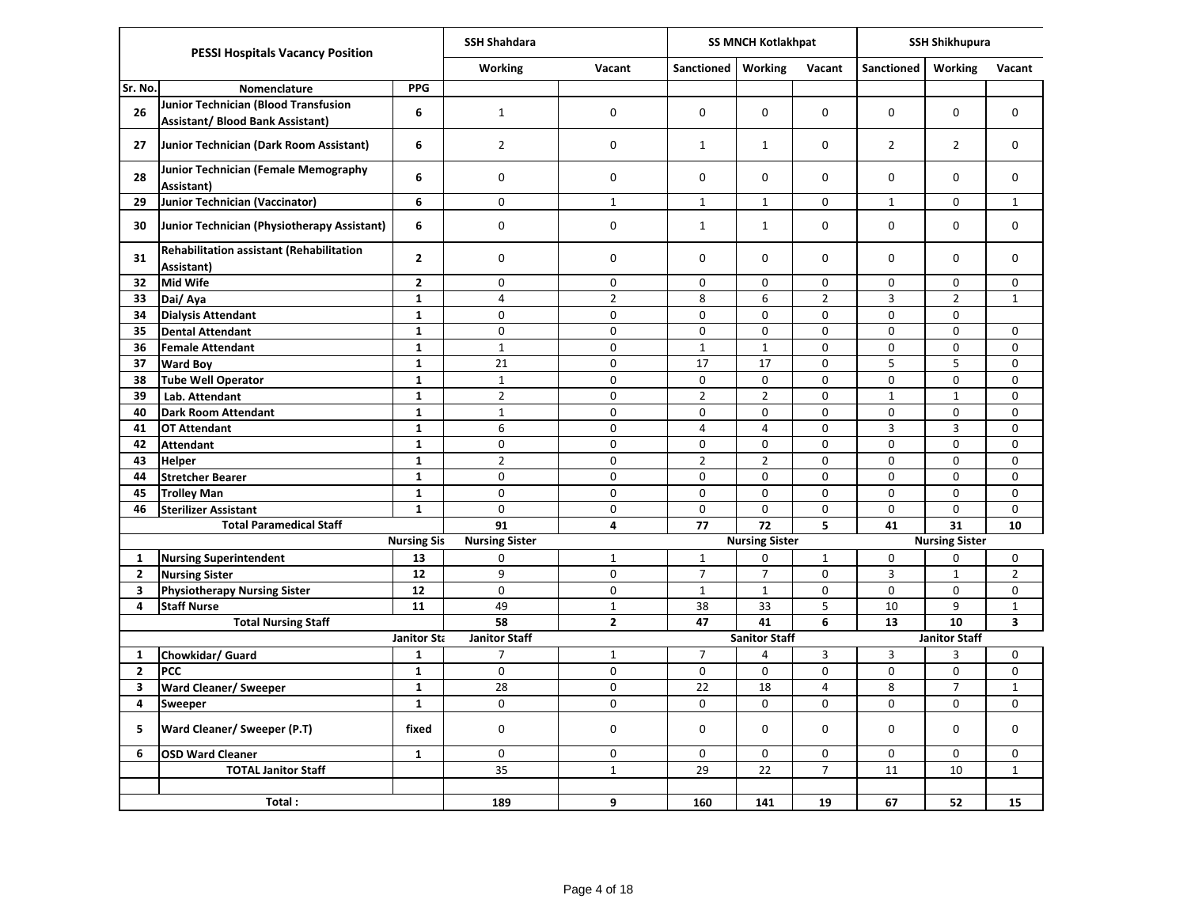|              | <b>PESSI Hospitals Vacancy Position</b>                                         |                             | <b>SSH Shahdara</b>   |                |                | <b>SS MNCH Kotlakhpat</b> |                |                   | <b>SSH Shikhupura</b>         |                         |
|--------------|---------------------------------------------------------------------------------|-----------------------------|-----------------------|----------------|----------------|---------------------------|----------------|-------------------|-------------------------------|-------------------------|
|              |                                                                                 |                             | <b>Working</b>        | Vacant         | Sanctioned     | <b>Working</b>            | Vacant         | <b>Sanctioned</b> | <b>Working</b>                | Vacant                  |
| Sr. No.      | Nomenclature                                                                    | <b>PPG</b>                  |                       |                |                |                           |                |                   |                               |                         |
| 26           | Junior Technician (Blood Transfusion<br><b>Assistant/ Blood Bank Assistant)</b> | 6                           | $\mathbf{1}$          | 0              | 0              | 0                         | 0              | 0                 | 0                             | 0                       |
| 27           | Junior Technician (Dark Room Assistant)                                         | 6                           | $\overline{2}$        | 0              | $\mathbf{1}$   | $\mathbf{1}$              | 0              | $\overline{2}$    | $\overline{2}$                | $\mathbf 0$             |
| 28           | Junior Technician (Female Memography<br>Assistant)                              | 6                           | 0                     | 0              | 0              | 0                         | 0              | $\mathbf 0$       | $\Omega$                      | $\mathbf 0$             |
| 29           | Junior Technician (Vaccinator)                                                  | 6                           | 0                     | $\mathbf{1}$   | $\mathbf{1}$   | $\mathbf{1}$              | 0              | $\mathbf{1}$      | 0                             | $\mathbf{1}$            |
| 30           | Junior Technician (Physiotherapy Assistant)                                     | 6                           | 0                     | 0              | $\mathbf{1}$   | $\mathbf{1}$              | 0              | $\mathbf 0$       | $\mathbf 0$                   | 0                       |
| 31           | Rehabilitation assistant (Rehabilitation<br>Assistant)                          | $\mathbf{2}$                | 0                     | 0              | 0              | 0                         | 0              | 0                 | $\Omega$                      | 0                       |
| 32           | <b>Mid Wife</b>                                                                 | $\overline{2}$              | $\mathbf 0$           | 0              | 0              | $\mathbf 0$               | 0              | 0                 | 0                             | 0                       |
| 33           | Dai/Aya                                                                         | $\mathbf{1}$                | 4                     | $\overline{2}$ | 8              | 6                         | $\overline{2}$ | 3                 | $\overline{2}$                | $\mathbf{1}$            |
| 34           | <b>Dialysis Attendant</b>                                                       | $\mathbf{1}$                | 0                     | 0              | $\pmb{0}$      | 0                         | $\mathbf 0$    | $\pmb{0}$         | $\mathbf 0$                   |                         |
| 35           | <b>Dental Attendant</b>                                                         | $\mathbf{1}$                | 0                     | 0              | $\mathbf 0$    | $\mathbf 0$               | $\mathbf 0$    | $\mathbf 0$       | $\mathbf 0$                   | 0                       |
| 36           | <b>Female Attendant</b>                                                         | $\mathbf{1}$                | $\mathbf 1$           | 0              | $\mathbf 1$    | $\mathbf{1}$              | $\mathbf 0$    | 0                 | $\mathbf 0$                   | 0                       |
| 37           | <b>Ward Boy</b>                                                                 | $\mathbf{1}$                | 21                    | 0              | 17             | 17                        | $\mathbf 0$    | 5                 | 5                             | 0                       |
| 38           | <b>Tube Well Operator</b>                                                       | $\mathbf{1}$                | $\mathbf 1$           | 0              | 0              | 0                         | 0              | 0                 | $\mathbf 0$                   | 0                       |
| 39           | Lab. Attendant                                                                  | $\mathbf{1}$                | $\overline{2}$        | 0<br>0         | $\overline{2}$ | $\overline{2}$            | 0<br>0         | $\mathbf{1}$      | $\mathbf 1$<br>0              | 0                       |
| 40<br>41     | <b>Dark Room Attendant</b>                                                      | $\mathbf 1$<br>$\mathbf{1}$ | $\mathbf 1$<br>6      | 0              | 0<br>4         | 0<br>4                    | 0              | 0<br>3            | 3                             | 0<br>$\mathbf 0$        |
| 42           | <b>OT Attendant</b><br><b>Attendant</b>                                         | $\mathbf{1}$                | 0                     | 0              | 0              | 0                         | 0              | 0                 | 0                             | 0                       |
| 43           | <b>Helper</b>                                                                   | $\mathbf{1}$                | $\overline{2}$        | 0              | $\overline{2}$ | $\overline{2}$            | $\pmb{0}$      | 0                 | $\pmb{0}$                     | 0                       |
| 44           | <b>Stretcher Bearer</b>                                                         | $\mathbf{1}$                | $\pmb{0}$             | 0              | 0              | 0                         | 0              | 0                 | $\mathbf 0$                   | 0                       |
| 45           | <b>Trolley Man</b>                                                              | $\mathbf{1}$                | 0                     | 0              | 0              | 0                         | 0              | $\pmb{0}$         | $\mathbf 0$                   | 0                       |
| 46           | <b>Sterilizer Assistant</b>                                                     | $\mathbf{1}$                | 0                     | $\pmb{0}$      | $\mathbf 0$    | 0                         | $\mathbf 0$    | 0                 | $\mathbf 0$                   | 0                       |
|              | <b>Total Paramedical Staff</b>                                                  |                             | 91                    | 4              | 77             | 72                        | 5              | 41                | 31                            | 10                      |
|              |                                                                                 | <b>Nursing Sis</b>          | <b>Nursing Sister</b> |                |                | <b>Nursing Sister</b>     |                |                   | <b>Nursing Sister</b>         |                         |
| $\mathbf{1}$ | <b>Nursing Superintendent</b>                                                   | 13                          | 0                     | $\mathbf{1}$   | $\mathbf 1$    | 0                         | $\mathbf 1$    | 0                 | 0                             | 0                       |
| $\mathbf{2}$ | <b>Nursing Sister</b>                                                           | 12                          | 9                     | $\mathbf 0$    | $\overline{7}$ | $\overline{7}$            | 0              | 3                 | $\mathbf{1}$                  | $\overline{2}$          |
| 3            | <b>Physiotherapy Nursing Sister</b>                                             | 12                          | 0                     | 0              | $\mathbf 1$    | $\mathbf 1$               | 0              | 0                 | 0                             | 0                       |
| 4            | <b>Staff Nurse</b>                                                              | 11                          | 49                    | $\mathbf{1}$   | 38             | 33                        | 5              | 10                | 9                             | $\mathbf{1}$            |
|              | <b>Total Nursing Staff</b>                                                      |                             | 58                    | $\mathbf{2}$   | 47             | 41                        | 6              | 13                | 10                            | $\overline{\mathbf{3}}$ |
|              |                                                                                 | Janitor Sta                 | <b>Janitor Staff</b>  |                |                | <b>Sanitor Staff</b>      |                |                   | <b>Janitor Staff</b>          |                         |
| $\mathbf{1}$ | Chowkidar/ Guard                                                                | $\mathbf{1}$                | $\overline{7}$        | $1\,$          | $\overline{7}$ | 4                         | 3              | 3                 | 3                             | 0                       |
| $\mathbf{2}$ | <b>PCC</b>                                                                      | $\mathbf{1}$                | $\pmb{0}$             | 0              | $\pmb{0}$      | 0                         | $\pmb{0}$      | $\pmb{0}$         | 0                             | $\pmb{0}$               |
| 3            | <b>Ward Cleaner/ Sweeper</b>                                                    | $\mathbf{1}$                | 28<br>0               | $\pmb{0}$<br>0 | 22             | 18                        | 4<br>$\pmb{0}$ | 8                 | $\overline{7}$<br>$\mathbf 0$ | $1\,$                   |
| 4            | Sweeper                                                                         | $\mathbf{1}$                |                       |                | 0              | 0                         |                | 0                 |                               | 0                       |
| 5            | <b>Ward Cleaner/ Sweeper (P.T)</b>                                              | fixed                       | 0                     | 0              | 0              | $\mathbf 0$               | 0              | $\mathbf 0$       | 0                             | 0                       |
| 6            | <b>OSD Ward Cleaner</b>                                                         | $\mathbf{1}$                | 0                     | 0              | 0              | 0                         | 0              | $\mathbf 0$       | 0                             | 0                       |
|              | <b>TOTAL Janitor Staff</b>                                                      |                             | 35                    | $\mathbf{1}$   | 29             | 22                        | $\overline{7}$ | 11                | 10                            | $\mathbf{1}$            |
|              | Total:                                                                          |                             | 189                   | 9              | 160            | 141                       | 19             | 67                | 52                            | 15                      |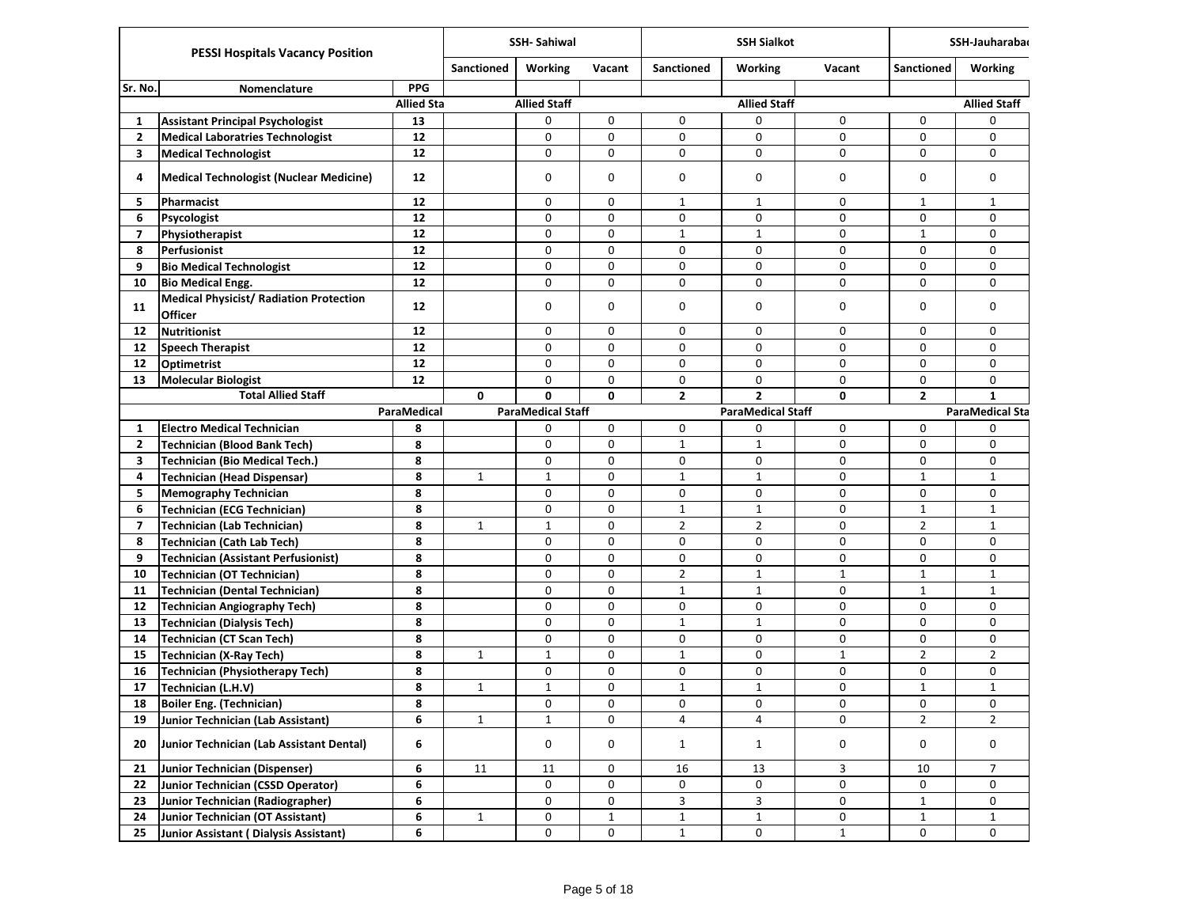|                         | <b>PESSI Hospitals Vacancy Position</b>                          |                   |                   | <b>SSH-Sahiwal</b>       |              |                   | <b>SSH Sialkot</b>       |              |                   | SSH-Jauharaba          |
|-------------------------|------------------------------------------------------------------|-------------------|-------------------|--------------------------|--------------|-------------------|--------------------------|--------------|-------------------|------------------------|
|                         |                                                                  |                   | <b>Sanctioned</b> | <b>Working</b>           | Vacant       | <b>Sanctioned</b> | <b>Working</b>           | Vacant       | <b>Sanctioned</b> | Working                |
| Sr. No.                 | Nomenclature                                                     | <b>PPG</b>        |                   |                          |              |                   |                          |              |                   |                        |
|                         |                                                                  | <b>Allied Sta</b> |                   | <b>Allied Staff</b>      |              |                   | <b>Allied Staff</b>      |              |                   | <b>Allied Staff</b>    |
| 1                       | <b>Assistant Principal Psychologist</b>                          | 13                |                   | 0                        | 0            | 0                 | 0                        | $\mathbf 0$  | 0                 | 0                      |
| 2                       | <b>Medical Laboratries Technologist</b>                          | 12                |                   | 0                        | 0            | 0                 | 0                        | 0            | $\mathbf 0$       | 0                      |
| 3                       | <b>Medical Technologist</b>                                      | 12                |                   | 0                        | 0            | 0                 | 0                        | 0            | 0                 | $\Omega$               |
| 4                       | <b>Medical Technologist (Nuclear Medicine)</b>                   | 12                |                   | 0                        | 0            | 0                 | 0                        | 0            | 0                 | 0                      |
| 5                       | Pharmacist                                                       | 12                |                   | 0                        | 0            | $\mathbf{1}$      | $\mathbf{1}$             | 0            | $\mathbf{1}$      | $\mathbf{1}$           |
| 6                       | Psycologist                                                      | 12                |                   | 0                        | 0            | 0                 | 0                        | 0            | 0                 | 0                      |
| $\overline{7}$          | Physiotherapist                                                  | 12                |                   | $\mathbf 0$              | 0            | $\mathbf{1}$      | $\mathbf{1}$             | 0            | $\mathbf{1}$      | 0                      |
| 8                       | Perfusionist                                                     | 12                |                   | 0                        | 0            | 0                 | 0                        | 0            | $\mathbf 0$       | 0                      |
| 9                       | <b>Bio Medical Technologist</b>                                  | 12                |                   | 0                        | 0            | 0                 | 0                        | 0            | $\mathbf 0$       | 0                      |
| 10                      | <b>Bio Medical Engg.</b>                                         | 12                |                   | 0                        | 0            | 0                 | 0                        | 0            | 0                 | 0                      |
| 11                      | <b>Medical Physicist/ Radiation Protection</b><br><b>Officer</b> | 12                |                   | 0                        | $\mathbf 0$  | 0                 | 0                        | 0            | $\mathbf 0$       | 0                      |
| 12                      | <b>Nutritionist</b>                                              | 12                |                   | 0                        | 0            | 0                 | 0                        | $\mathbf 0$  | 0                 | 0                      |
| 12                      | <b>Speech Therapist</b>                                          | 12                |                   | 0                        | $\mathbf 0$  | 0                 | 0                        | 0            | $\mathbf 0$       | 0                      |
| 12                      | <b>Optimetrist</b>                                               | 12                |                   | 0                        | 0            | 0                 | 0                        | 0            | 0                 | 0                      |
| 13                      | <b>Molecular Biologist</b>                                       | 12                |                   | 0                        | 0            | 0                 | 0                        | 0            | 0                 | 0                      |
|                         | <b>Total Allied Staff</b>                                        |                   | $\mathbf{0}$      | 0                        | $\mathbf{0}$ | $\mathbf{2}$      | $\overline{2}$           | 0            | $\overline{2}$    | $\mathbf{1}$           |
|                         |                                                                  | ParaMedical       |                   | <b>ParaMedical Staff</b> |              |                   | <b>ParaMedical Staff</b> |              |                   | <b>ParaMedical Sta</b> |
| 1                       | <b>Electro Medical Technician</b>                                | 8                 |                   | 0                        | 0            | 0                 | 0                        | 0            | 0                 | 0                      |
| $\mathbf{2}$            | <b>Technician (Blood Bank Tech)</b>                              | 8                 |                   | 0                        | 0            | $\mathbf{1}$      | $\mathbf{1}$             | 0            | $\mathbf 0$       | 0                      |
| 3                       | <b>Technician (Bio Medical Tech.)</b>                            | 8                 |                   | 0                        | 0            | 0                 | 0                        | 0            | 0                 | 0                      |
| 4                       | <b>Technician (Head Dispensar)</b>                               | 8                 | $\mathbf{1}$      | $\mathbf{1}$             | 0            | $\mathbf{1}$      | $\mathbf{1}$             | 0            | $\mathbf{1}$      | $\mathbf{1}$           |
| 5                       | <b>Memography Technician</b>                                     | 8                 |                   | 0                        | 0            | 0                 | 0                        | 0            | $\mathbf 0$       | 0                      |
| 6                       | <b>Technician (ECG Technician)</b>                               | 8                 |                   | 0                        | $\mathbf 0$  | $\mathbf{1}$      | $\mathbf{1}$             | 0            | $\mathbf{1}$      | $\mathbf{1}$           |
| $\overline{\mathbf{z}}$ | <b>Technician (Lab Technician)</b>                               | 8                 | $\mathbf{1}$      | $\mathbf{1}$             | 0            | $\overline{2}$    | $\overline{2}$           | 0            | $\overline{2}$    | $\mathbf{1}$           |
| 8                       | <b>Technician (Cath Lab Tech)</b>                                | 8                 |                   | 0                        | 0            | 0                 | 0                        | 0            | 0                 | 0                      |
| 9                       | <b>Technician (Assistant Perfusionist)</b>                       | 8                 |                   | 0                        | 0            | 0                 | 0                        | 0            | 0                 | 0                      |
| 10                      | <b>Technician (OT Technician)</b>                                | 8                 |                   | 0                        | 0            | $\overline{2}$    | $\mathbf{1}$             | $\mathbf{1}$ | $\mathbf{1}$      | $\mathbf{1}$           |
| 11                      | <b>Technician (Dental Technician)</b>                            | 8                 |                   | 0                        | $\mathbf 0$  | $\mathbf{1}$      | $\mathbf{1}$             | 0            | $\mathbf{1}$      | $\mathbf{1}$           |
| 12                      | <b>Technician Angiography Tech)</b>                              | 8                 |                   | 0                        | 0            | $\mathbf 0$       | 0                        | 0            | $\mathbf 0$       | 0                      |
| 13                      | <b>Technician (Dialysis Tech)</b>                                | 8                 |                   | 0                        | 0            | $\mathbf{1}$      | $\mathbf{1}$             | 0            | 0                 | 0                      |
| 14                      | <b>Technician (CT Scan Tech)</b>                                 | 8                 |                   | 0                        | 0            | 0                 | 0                        | 0            | 0                 | 0                      |
| 15                      | <b>Technician (X-Ray Tech)</b>                                   | 8                 | $\mathbf{1}$      | $\mathbf{1}$             | 0            | $\mathbf{1}$      | 0                        | $\mathbf{1}$ | $\overline{2}$    | $\overline{2}$         |
| 16                      | <b>Technician (Physiotherapy Tech)</b>                           | 8                 |                   | 0                        | 0            | 0                 | 0                        | 0            | 0                 | 0                      |
| 17                      | Technician (L.H.V)                                               | 8                 | $\mathbf{1}$      | $\mathbf 1$              | 0            | $\mathbf{1}$      | $\mathbf{1}$             | 0            | $\mathbf{1}$      | $\mathbf{1}$           |
| 18                      | Boiler Eng. (Technician)                                         | 8                 |                   | 0                        | 0            | 0                 | 0                        | 0            | $\pmb{0}$         | 0                      |
| 19                      | Junior Technician (Lab Assistant)                                | 6                 | $\mathbf{1}$      | $\mathbf{1}$             | 0            | 4                 | $\overline{4}$           | 0            | $\overline{2}$    | $\overline{2}$         |
| 20                      | Junior Technician (Lab Assistant Dental)                         | 6                 |                   | 0                        | 0            | $\mathbf{1}$      | $\mathbf{1}$             | 0            | 0                 | 0                      |
| 21                      | <b>Junior Technician (Dispenser)</b>                             | 6                 | 11                | 11                       | 0            | $16\,$            | 13                       | 3            | 10                | $\overline{7}$         |
| 22                      | Junior Technician (CSSD Operator)                                | 6                 |                   | 0                        | 0            | 0                 | 0                        | 0            | 0                 | 0                      |
| 23                      | Junior Technician (Radiographer)                                 | 6                 |                   | 0                        | 0            | 3                 | $\mathsf{3}$             | 0            | $\mathbf{1}$      | 0                      |
| 24                      | Junior Technician (OT Assistant)                                 | 6                 | $\mathbf{1}$      | 0                        | $\mathbf 1$  | $\mathbf{1}$      | $\mathbf{1}$             | 0            | $\mathbf{1}$      | $\mathbf{1}$           |
| 25                      | Junior Assistant (Dialysis Assistant)                            | 6                 |                   | 0                        | 0            | $\mathbf{1}$      | 0                        | $\mathbf{1}$ | 0                 | 0                      |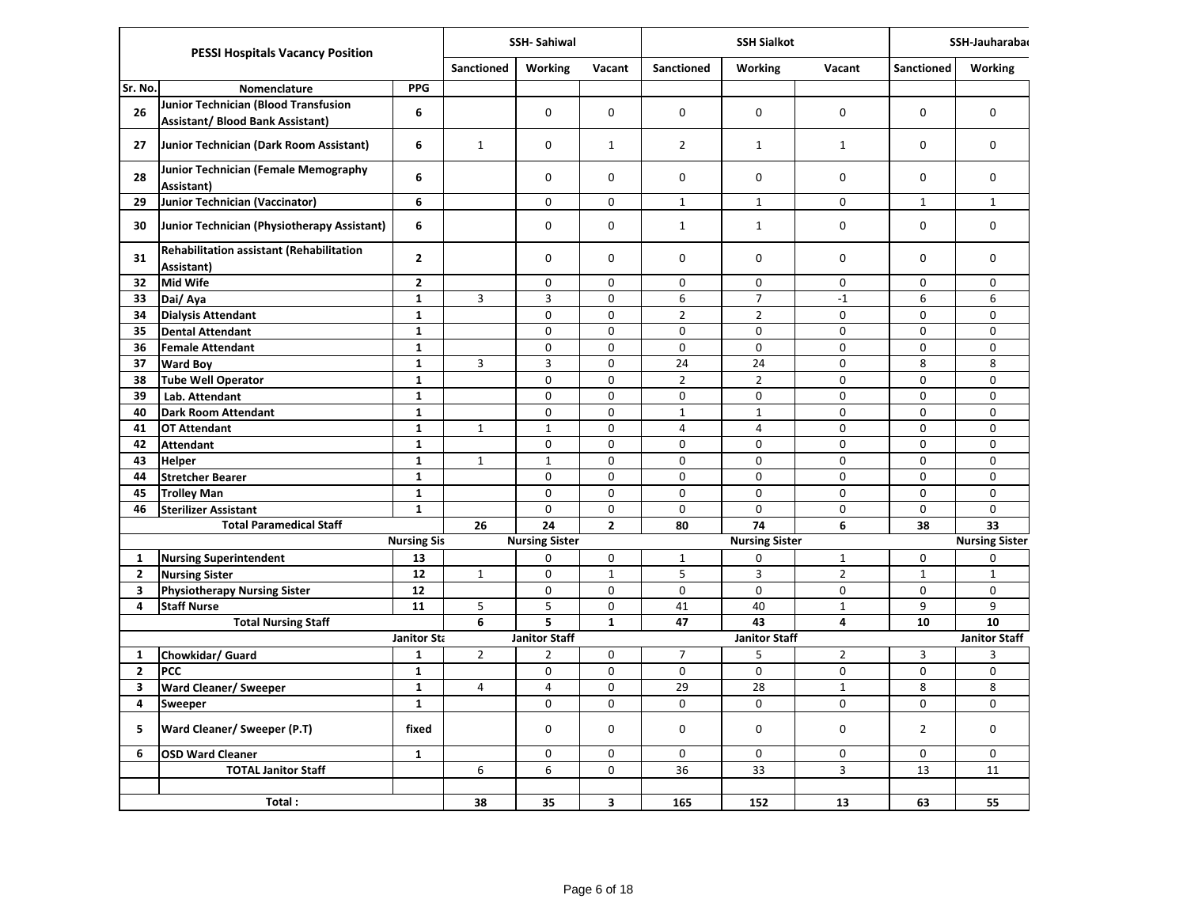|                         | <b>PESSI Hospitals Vacancy Position</b>                                                |                    |                   | <b>SSH-Sahiwal</b>    |                |                | <b>SSH Sialkot</b>    |                             |                | SSH-Jauharaba         |
|-------------------------|----------------------------------------------------------------------------------------|--------------------|-------------------|-----------------------|----------------|----------------|-----------------------|-----------------------------|----------------|-----------------------|
|                         |                                                                                        |                    | <b>Sanctioned</b> | <b>Working</b>        | Vacant         | Sanctioned     | <b>Working</b>        | Vacant                      | Sanctioned     | <b>Working</b>        |
| Sr. No.                 | Nomenclature                                                                           | <b>PPG</b>         |                   |                       |                |                |                       |                             |                |                       |
| 26                      | <b>Junior Technician (Blood Transfusion</b><br><b>Assistant/ Blood Bank Assistant)</b> | 6                  |                   | 0                     | 0              | 0              | 0                     | $\mathbf 0$                 | 0              | 0                     |
| 27                      | Junior Technician (Dark Room Assistant)                                                | 6                  | $\mathbf{1}$      | 0                     | $\mathbf{1}$   | $\overline{2}$ | $\mathbf{1}$          | $\mathbf{1}$                | 0              | 0                     |
| 28                      | Junior Technician (Female Memography<br>Assistant)                                     | 6                  |                   | 0                     | 0              | 0              | $\mathbf 0$           | $\mathbf 0$                 | 0              | $\mathbf 0$           |
| 29                      | <b>Junior Technician (Vaccinator)</b>                                                  | 6                  |                   | 0                     | 0              | $\mathbf{1}$   | $\mathbf{1}$          | $\mathbf 0$                 | $\mathbf{1}$   | $\mathbf{1}$          |
| 30                      | Junior Technician (Physiotherapy Assistant)                                            | 6                  |                   | 0                     | 0              | $\mathbf{1}$   | $\mathbf{1}$          | 0                           | 0              | $\mathbf 0$           |
| 31                      | Rehabilitation assistant (Rehabilitation<br>Assistant)                                 | $\mathbf{2}$       |                   | 0                     | 0              | 0              | 0                     | $\mathbf 0$                 | 0              | $\mathbf 0$           |
| 32                      | <b>Mid Wife</b>                                                                        | $\mathbf{2}$       |                   | 0                     | 0              | 0              | 0                     | $\mathbf 0$                 | $\Omega$       | $\mathbf 0$           |
| 33                      | Dai/Aya                                                                                | $\mathbf 1$        | 3                 | $\overline{3}$        | $\mathbf 0$    | 6              | $\overline{7}$        | $-1$                        | 6              | 6                     |
| 34                      | <b>Dialysis Attendant</b>                                                              | $\mathbf{1}$       |                   | $\mathbf 0$           | $\pmb{0}$      | $\overline{2}$ | $\overline{2}$        | $\mathbf 0$                 | 0              | $\mathsf 0$           |
| 35                      | <b>Dental Attendant</b>                                                                | $\mathbf{1}$       |                   | $\Omega$              | 0              | 0              | 0                     | $\Omega$                    | 0              | $\Omega$              |
| 36                      | <b>Female Attendant</b>                                                                | $\mathbf{1}$       |                   | $\mathbf 0$           | 0              | 0              | 0                     | $\mathsf 0$                 | $\Omega$       | $\mathsf 0$           |
| 37                      | <b>Ward Boy</b>                                                                        | $\mathbf{1}$       | 3                 | 3                     | 0              | 24             | 24                    | $\mathbf 0$                 | 8              | 8                     |
| 38                      | <b>Tube Well Operator</b>                                                              | $\mathbf{1}$       |                   | $\mathbf 0$           | $\mathbf 0$    | $\overline{2}$ | $\overline{2}$        | $\pmb{0}$                   | 0              | 0                     |
| 39                      | Lab. Attendant                                                                         | $\mathbf{1}$       |                   | 0                     | 0              | 0              | 0                     | 0                           | 0              | $\mathbf 0$           |
| 40                      | <b>Dark Room Attendant</b>                                                             | $\mathbf{1}$       |                   | 0                     | 0              | $1\,$          | $\mathbf{1}$          | $\mathbf 0$                 | 0              | $\mathbf 0$           |
| 41                      | <b>OT Attendant</b>                                                                    | $\mathbf{1}$       | $\mathbf 1$       | $\mathbf 1$           | 0              | 4              | 4                     | $\mathbf 0$                 | 0              | $\mathbf 0$           |
| 42                      | <b>Attendant</b>                                                                       | $\mathbf{1}$       |                   | $\mathbf 0$           | $\mathbf 0$    | $\mathbf 0$    | $\mathbf 0$           | $\mathbf 0$                 | 0              | $\mathbf 0$           |
| 43                      | <b>Helper</b>                                                                          | $\mathbf{1}$       | 1                 | $\mathbf{1}$          | 0              | 0              | 0                     | $\mathbf 0$                 | 0              | $\mathbf 0$           |
| 44                      | <b>Stretcher Bearer</b>                                                                | $\mathbf{1}$       |                   | $\mathbf 0$           | $\mathbf 0$    | 0              | 0                     | $\mathbf 0$                 | 0              | $\mathbf 0$           |
| 45                      | <b>Trolley Man</b>                                                                     | $\mathbf{1}$       |                   | $\mathbf 0$           | $\mathbf 0$    | 0              | $\mathbf 0$           | $\mathbf 0$                 | 0              | $\mathbf 0$           |
| 46                      | <b>Sterilizer Assistant</b>                                                            | $\mathbf{1}$       |                   | $\Omega$              | 0              | 0              | 0                     | $\mathbf 0$                 | $\Omega$       | $\Omega$              |
|                         | <b>Total Paramedical Staff</b>                                                         |                    | 26                | 24                    | $\overline{2}$ | 80             | 74                    | 6                           | 38             | 33                    |
|                         |                                                                                        | <b>Nursing Sis</b> |                   | <b>Nursing Sister</b> |                |                | <b>Nursing Sister</b> |                             |                | <b>Nursing Sister</b> |
| $\mathbf{1}$            | <b>Nursing Superintendent</b>                                                          | 13                 |                   | 0                     | 0              | $\mathbf{1}$   | 0                     | $\mathbf 1$                 | 0              | $\mathbf 0$           |
| $\mathbf{2}$            | <b>Nursing Sister</b>                                                                  | 12                 | $\mathbf 1$       | 0                     | $\mathbf{1}$   | 5              | 3                     | $\mathbf 2$                 | $\mathbf{1}$   | $\mathbf{1}$          |
| 3<br>4                  | <b>Physiotherapy Nursing Sister</b>                                                    | 12<br>11           | 5                 | 0<br>5                | 0<br>0         | 0<br>41        | 0<br>40               | $\mathbf 0$<br>$\mathbf{1}$ | 0<br>9         | 0<br>9                |
|                         | <b>Staff Nurse</b><br><b>Total Nursing Staff</b>                                       |                    | 6                 | 5                     | $\mathbf{1}$   | 47             | 43                    | $\overline{\mathbf{A}}$     | 10             | 10                    |
|                         |                                                                                        | Janitor Sta        |                   | <b>Janitor Staff</b>  |                |                | <b>Janitor Staff</b>  |                             |                | <b>Janitor Staff</b>  |
| $\mathbf{1}$            | Chowkidar/ Guard                                                                       | $\mathbf{1}$       | $\overline{2}$    | $\overline{2}$        | 0              | $\overline{7}$ | 5                     | $\overline{2}$              | 3              | 3                     |
| $\mathbf{2}$            | <b>PCC</b>                                                                             | $\mathbf{1}$       |                   | $\mathsf 0$           | 0              | 0              | 0                     | $\pmb{0}$                   | 0              | 0                     |
| 3                       | <b>Ward Cleaner/ Sweeper</b>                                                           | $\mathbf{1}$       | $\overline{4}$    | 4                     | 0              | 29             | 28                    | $\mathbf{1}$                | 8              | 8                     |
| $\overline{\mathbf{4}}$ | Sweeper                                                                                | $\mathbf{1}$       |                   | $\mathbf 0$           | 0              | 0              | $\mathbf 0$           | $\mathbf 0$                 | 0              | $\mathbf 0$           |
| 5                       | Ward Cleaner/ Sweeper (P.T)                                                            | fixed              |                   | 0                     | $\mathbf 0$    | 0              | 0                     | $\mathbf 0$                 | $\overline{2}$ | $\mathbf 0$           |
| 6                       | <b>OSD Ward Cleaner</b>                                                                | $\mathbf{1}$       |                   | 0                     | $\Omega$       | 0              | 0                     | $\mathbf 0$                 | $\Omega$       | $\mathbf{0}$          |
|                         | <b>TOTAL Janitor Staff</b>                                                             |                    | 6                 | 6                     | 0              | 36             | 33                    | 3                           | 13             | 11                    |
|                         | Total:                                                                                 |                    | 38                | 35                    | 3              | 165            | 152                   | 13                          | 63             | 55                    |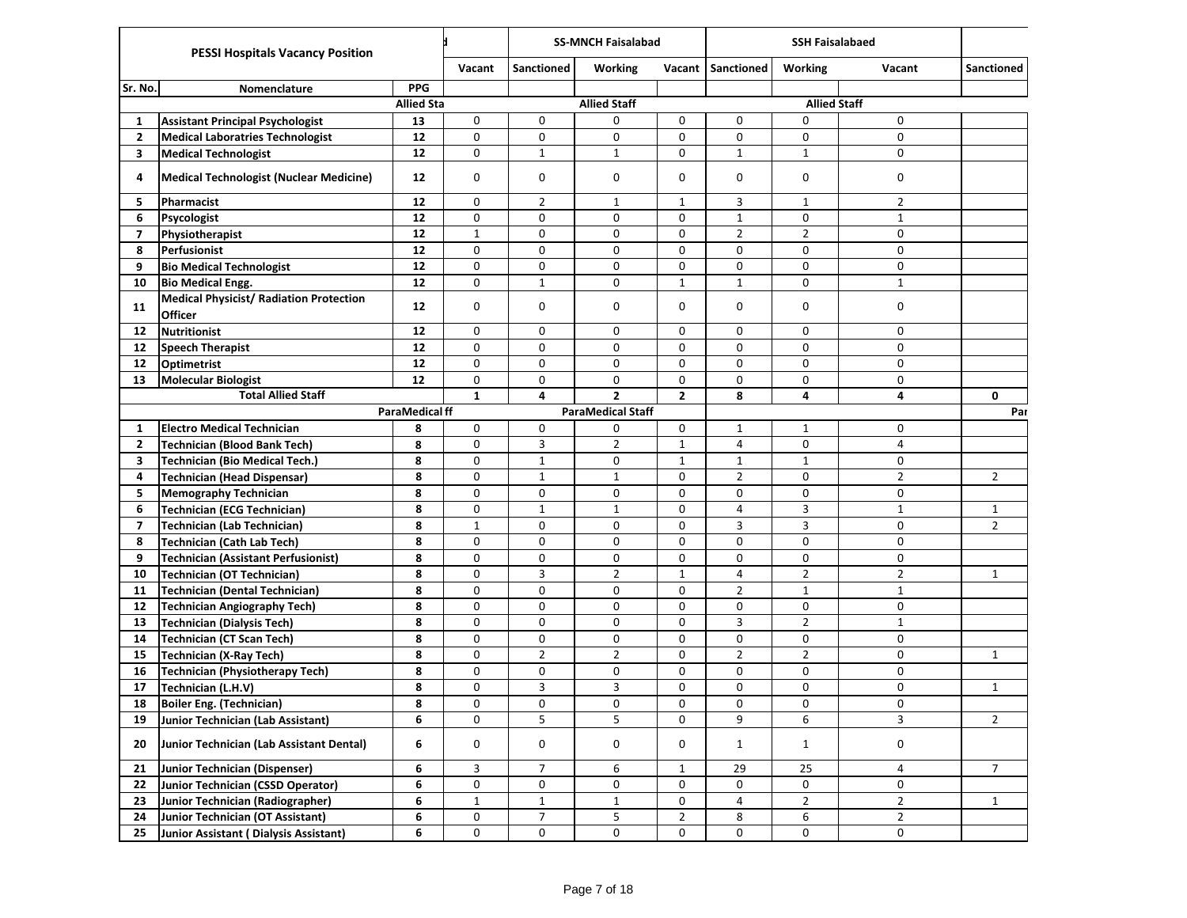|                         | <b>PESSI Hospitals Vacancy Position</b>                   |                      |              | <b>SS-MNCH Faisalabad</b> |                          |                |                   | <b>SSH Faisalabaed</b> |                |                   |
|-------------------------|-----------------------------------------------------------|----------------------|--------------|---------------------------|--------------------------|----------------|-------------------|------------------------|----------------|-------------------|
|                         |                                                           |                      | Vacant       | Sanctioned                | <b>Working</b>           | Vacant         | <b>Sanctioned</b> | <b>Working</b>         | Vacant         | <b>Sanctioned</b> |
| Sr. No.                 | Nomenclature                                              | <b>PPG</b>           |              |                           |                          |                |                   |                        |                |                   |
|                         |                                                           | <b>Allied Sta</b>    |              |                           | <b>Allied Staff</b>      |                |                   | <b>Allied Staff</b>    |                |                   |
| 1                       | <b>Assistant Principal Psychologist</b>                   | 13                   | 0            | 0                         | 0                        | 0              | 0                 | 0                      | 0              |                   |
| $\overline{2}$          | <b>Medical Laboratries Technologist</b>                   | 12                   | 0            | 0                         | 0                        | 0              | 0                 | 0                      | 0              |                   |
| 3                       | <b>Medical Technologist</b>                               | 12                   | 0            | $\mathbf{1}$              | $\mathbf{1}$             | 0              | $\mathbf{1}$      | $\mathbf{1}$           | 0              |                   |
| 4                       | Medical Technologist (Nuclear Medicine)                   | 12                   | 0            | 0                         | 0                        | 0              | 0                 | 0                      | 0              |                   |
| 5                       | Pharmacist                                                | 12                   | 0            | $\overline{2}$            | $\mathbf{1}$             | $\mathbf{1}$   | 3                 | $\mathbf{1}$           | $\overline{2}$ |                   |
| 6                       | Psycologist                                               | 12                   | 0            | 0                         | 0                        | 0              | $\mathbf{1}$      | 0                      | $\mathbf 1$    |                   |
| $\overline{7}$          | Physiotherapist                                           | 12                   | $\mathbf{1}$ | 0                         | 0                        | 0              | $\overline{2}$    | $\overline{2}$         | $\mathbf 0$    |                   |
| 8                       | Perfusionist                                              | 12                   | 0            | 0                         | 0                        | 0              | 0                 | 0                      | $\mathbf 0$    |                   |
| 9                       | <b>Bio Medical Technologist</b>                           | 12                   | 0            | 0                         | 0                        | 0              | 0                 | 0                      | 0              |                   |
| 10                      | <b>Bio Medical Engg.</b>                                  | 12                   | 0            | $\mathbf{1}$              | 0                        | $\mathbf{1}$   | $\mathbf{1}$      | 0                      | $\mathbf{1}$   |                   |
| 11                      | <b>Medical Physicist/ Radiation Protection</b><br>Officer | 12                   | 0            | 0                         | 0                        | 0              | 0                 | 0                      | $\mathbf 0$    |                   |
| 12                      | <b>Nutritionist</b>                                       | 12                   | 0            | 0                         | 0                        | 0              | 0                 | 0                      | $\mathbf 0$    |                   |
| 12                      | <b>Speech Therapist</b>                                   | 12                   | 0            | 0                         | 0                        | $\mathbf 0$    | 0                 | 0                      | $\mathbf 0$    |                   |
| $12$                    | Optimetrist                                               | 12                   | 0            | 0                         | 0                        | 0              | 0                 | 0                      | 0              |                   |
| 13                      | <b>Molecular Biologist</b>                                | 12                   | 0            | 0                         | 0                        | 0              | 0                 | 0                      | 0              |                   |
|                         | <b>Total Allied Staff</b>                                 |                      | $\mathbf{1}$ | 4                         | $\overline{2}$           | $\mathbf{2}$   | 8                 | 4                      | 4              | $\mathbf{0}$      |
|                         |                                                           | <b>ParaMedicalff</b> |              |                           | <b>ParaMedical Staff</b> |                |                   |                        |                | Par               |
| 1                       | <b>Electro Medical Technician</b>                         | 8                    | 0            | 0                         | 0                        | 0              | 1                 | $\mathbf{1}$           | 0              |                   |
| $\overline{2}$          | <b>Technician (Blood Bank Tech)</b>                       | 8                    | 0            | 3                         | $\overline{2}$           | $\mathbf{1}$   | 4                 | 0                      | 4              |                   |
| 3                       | <b>Technician (Bio Medical Tech.)</b>                     | 8                    | 0            | $\mathbf{1}$              | 0                        | $\mathbf{1}$   | $\mathbf{1}$      | $1\,$                  | 0              |                   |
| 4                       | Technician (Head Dispensar)                               | 8                    | 0            | $\mathbf{1}$              | $\mathbf{1}$             | 0              | $\overline{2}$    | 0                      | $\overline{2}$ | $\overline{2}$    |
| 5                       | <b>Memography Technician</b>                              | 8                    | 0            | 0                         | 0                        | 0              | 0                 | 0                      | $\mathbf 0$    |                   |
| 6                       | <b>Technician (ECG Technician)</b>                        | 8                    | 0            | $\mathbf{1}$              | $\mathbf{1}$             | 0              | 4                 | 3                      | $\mathbf{1}$   | $\mathbf{1}$      |
| $\overline{\mathbf{z}}$ | <b>Technician (Lab Technician)</b>                        | 8                    | $\mathbf{1}$ | 0                         | 0                        | 0              | 3                 | 3                      | $\mathbf 0$    | $\overline{2}$    |
| 8                       | <b>Technician (Cath Lab Tech)</b>                         | 8                    | 0            | 0                         | 0                        | 0              | 0                 | 0                      | 0              |                   |
| 9                       | Technician (Assistant Perfusionist)                       | 8                    | 0            | 0                         | 0                        | 0              | 0                 | 0                      | 0              |                   |
| 10                      | <b>Technician (OT Technician)</b>                         | 8                    | 0            | 3                         | $\overline{2}$           | $\mathbf{1}$   | 4                 | $\overline{2}$         | $\overline{2}$ | $\mathbf{1}$      |
| 11                      | <b>Technician (Dental Technician)</b>                     | 8                    | 0            | 0                         | 0                        | 0              | $\overline{2}$    | $1\,$                  | $\mathbf{1}$   |                   |
| 12                      | <b>Technician Angiography Tech)</b>                       | 8                    | 0            | 0                         | 0                        | 0              | 0                 | 0                      | 0              |                   |
| 13                      | <b>Technician (Dialysis Tech)</b>                         | 8                    | 0            | 0                         | 0                        | 0              | 3                 | $\overline{2}$         | $\mathbf{1}$   |                   |
| 14                      | Technician (CT Scan Tech)                                 | 8                    | 0            | 0                         | 0                        | 0              | 0                 | 0                      | $\mathbf 0$    |                   |
| 15                      | <b>Technician (X-Ray Tech)</b>                            | 8                    | 0            | 2                         | $\overline{2}$           | 0              | $\overline{2}$    | $\overline{2}$         | $\mathbf 0$    | $\mathbf{1}$      |
| 16                      | <b>Technician (Physiotherapy Tech)</b>                    | 8                    | 0            | 0                         | 0                        | 0              | 0                 | 0                      | 0              |                   |
| 17                      | Technician (L.H.V)                                        | 8                    | 0            | 3                         | 3                        | 0              | 0                 | 0                      | 0              | $\mathbf{1}$      |
| 18                      | Boiler Eng. (Technician)                                  | 8                    | 0            | 0                         | 0                        | 0              | 0                 | 0                      | 0              |                   |
| 19                      | Junior Technician (Lab Assistant)                         | 6                    | 0            | 5                         | 5                        | 0              | 9                 | 6                      | 3              | $\overline{2}$    |
| 20                      | Junior Technician (Lab Assistant Dental)                  | 6                    | 0            | 0                         | 0                        | 0              | $\mathbf{1}$      | $\mathbf{1}$           | 0              |                   |
| 21                      | Junior Technician (Dispenser)                             | 6                    | 3            | $\overline{7}$            | 6                        | $\mathbf{1}$   | 29                | 25                     | 4              | $\overline{7}$    |
| 22                      | Junior Technician (CSSD Operator)                         | 6                    | 0            | 0                         | 0                        | 0              | 0                 | 0                      | 0              |                   |
| 23                      | Junior Technician (Radiographer)                          | 6                    | $\mathbf 1$  | $\mathbf 1$               | $\mathbf 1$              | $\pmb{0}$      | 4                 | $\overline{2}$         | $\mathbf 2$    | $\mathbf{1}$      |
| 24                      | Junior Technician (OT Assistant)                          | 6                    | 0            | $\overline{7}$            | 5                        | $\overline{2}$ | 8                 | 6                      | $\overline{2}$ |                   |
| 25                      | Junior Assistant (Dialysis Assistant)                     | 6                    | 0            | 0                         | 0                        | 0              | 0                 | 0                      | 0              |                   |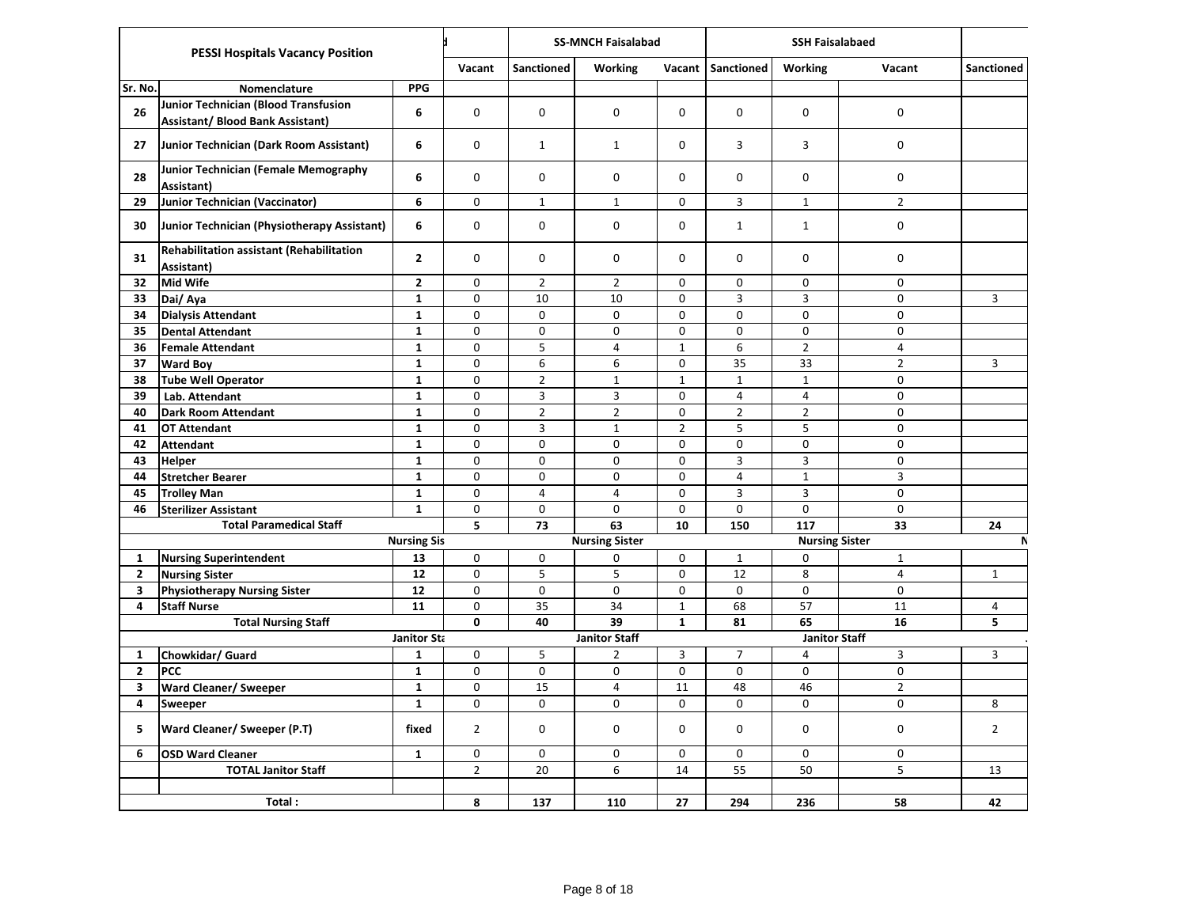|                | <b>PESSI Hospitals Vacancy Position</b>                                  |                    |                | <b>SS-MNCH Faisalabad</b> |                       |                |                | <b>SSH Faisalabaed</b> |                         |                |  |
|----------------|--------------------------------------------------------------------------|--------------------|----------------|---------------------------|-----------------------|----------------|----------------|------------------------|-------------------------|----------------|--|
|                |                                                                          |                    | Vacant         | Sanctioned                | <b>Working</b>        | Vacant         | Sanctioned     | <b>Working</b>         | Vacant                  | Sanctioned     |  |
| Sr. No.        | Nomenclature                                                             | <b>PPG</b>         |                |                           |                       |                |                |                        |                         |                |  |
| 26             | Junior Technician (Blood Transfusion<br>Assistant/ Blood Bank Assistant) | 6                  | 0              | 0                         | 0                     | 0              | 0              | $\mathbf 0$            | 0                       |                |  |
| 27             | Junior Technician (Dark Room Assistant)                                  | 6                  | 0              | $\mathbf{1}$              | $\mathbf{1}$          | 0              | 3              | 3                      | 0                       |                |  |
| 28             | Junior Technician (Female Memography<br>Assistant)                       | 6                  | $\Omega$       | $\mathbf 0$               | 0                     | 0              | $\Omega$       | $\Omega$               | 0                       |                |  |
| 29             | <b>Junior Technician (Vaccinator)</b>                                    | 6                  | 0              | $\mathbf 1$               | $\mathbf{1}$          | 0              | 3              | $\mathbf{1}$           | $\overline{2}$          |                |  |
| 30             | Junior Technician (Physiotherapy Assistant)                              | 6                  | 0              | 0                         | 0                     | 0              | $\mathbf{1}$   | $\mathbf{1}$           | 0                       |                |  |
| 31             | <b>Rehabilitation assistant (Rehabilitation</b><br>Assistant)            | $\mathbf{2}$       | $\mathbf 0$    | $\mathbf 0$               | 0                     | 0              | $\mathbf 0$    | 0                      | 0                       |                |  |
| 32             | <b>Mid Wife</b>                                                          | $\mathbf{2}$       | $\mathbf 0$    | $\overline{2}$            | $\overline{2}$        | 0              | $\mathbf 0$    | 0                      | 0                       |                |  |
| 33             | Dai/ Aya                                                                 | $\mathbf{1}$       | $\mathbf 0$    | 10                        | 10                    | 0              | $\mathsf{3}$   | 3                      | $\mathbf 0$             | 3              |  |
| 34             | <b>Dialysis Attendant</b>                                                | $\mathbf{1}$       | $\mathbf 0$    | $\mathbf 0$               | 0                     | 0              | 0              | 0                      | $\pmb{0}$               |                |  |
| 35             | <b>Dental Attendant</b>                                                  | $\mathbf{1}$       | $\mathbf 0$    | $\mathbf 0$               | 0                     | 0              | $\Omega$       | 0                      | 0                       |                |  |
| 36             | <b>Female Attendant</b>                                                  | $\mathbf{1}$       | $\mathbf 0$    | 5                         | 4                     | $\mathbf{1}$   | 6              | $\overline{2}$         | 4                       |                |  |
| 37             | <b>Ward Boy</b>                                                          | $\mathbf{1}$       | $\Omega$       | 6                         | 6                     | $\Omega$       | 35             | 33                     | $\overline{2}$          | 3              |  |
| 38             | <b>Tube Well Operator</b>                                                | $\mathbf{1}$       | $\mathbf 0$    | $\overline{2}$            | $\mathbf 1$           | $\mathbf{1}$   | $\mathbf 1$    | $1\,$                  | $\pmb{0}$               |                |  |
| 39             | Lab. Attendant                                                           | $\mathbf{1}$       | 0              | 3                         | 3                     | 0              | $\overline{4}$ | 4                      | 0                       |                |  |
| 40             | <b>Dark Room Attendant</b>                                               | $\mathbf{1}$       | $\mathbf 0$    | $\overline{2}$            | $\overline{2}$        | $\mathbf 0$    | $\overline{2}$ | $\overline{2}$         | 0                       |                |  |
| 41             | <b>OT Attendant</b>                                                      | $\mathbf{1}$       | $\mathbf 0$    | 3                         | $\mathbf{1}$          | $\overline{2}$ | 5              | 5                      | 0                       |                |  |
| 42             | <b>Attendant</b>                                                         | $\mathbf{1}$       | $\mathbf 0$    | $\mathbf 0$               | $\mathbf 0$           | $\mathbf 0$    | $\mathbf 0$    | $\mathbf 0$            | 0                       |                |  |
| 43             | <b>Helper</b>                                                            | $\mathbf{1}$       | $\mathbf 0$    | $\pmb{0}$                 | 0                     | 0              | $\mathsf{3}$   | 3                      | $\pmb{0}$               |                |  |
| 44             | <b>Stretcher Bearer</b>                                                  | $\mathbf{1}$       | $\mathbf 0$    | $\mathbf 0$               | 0                     | 0              | $\overline{4}$ | $\mathbf{1}$           | $\overline{3}$          |                |  |
| 45             | <b>Trolley Man</b>                                                       | $\mathbf{1}$       | $\mathbf 0$    | $\overline{4}$            | 4                     | 0              | 3              | 3                      | 0                       |                |  |
| 46             | <b>Sterilizer Assistant</b>                                              | $\mathbf{1}$       | $\mathbf 0$    | $\mathbf 0$               | 0                     | 0              | 0              | 0                      | 0                       |                |  |
|                | <b>Total Paramedical Staff</b>                                           |                    | 5              | 73                        | 63                    | 10             | 150            | 117                    | 33                      | 24             |  |
|                |                                                                          | <b>Nursing Sis</b> |                |                           | <b>Nursing Sister</b> |                |                | <b>Nursing Sister</b>  |                         | N              |  |
| $\mathbf{1}$   | <b>Nursing Superintendent</b>                                            | 13                 | 0              | $\pmb{0}$                 | 0                     | 0              | $\mathbf{1}$   | 0                      | $\mathbf 1$             |                |  |
| $\mathbf{2}$   | <b>Nursing Sister</b>                                                    | 12                 | $\pmb{0}$      | 5                         | 5                     | 0              | 12             | 8                      | $\overline{\mathbf{4}}$ | $\mathbf{1}$   |  |
| 3              | <b>Physiotherapy Nursing Sister</b>                                      | 12                 | $\mathbf 0$    | $\mathbf 0$               | 0                     | 0              | 0              | $\mathbf 0$            | 0                       |                |  |
| 4              | <b>Staff Nurse</b>                                                       | 11                 | 0              | 35                        | 34                    | $\mathbf{1}$   | 68             | 57                     | 11                      | 4              |  |
|                | <b>Total Nursing Staff</b>                                               |                    | $\mathbf{0}$   | 40                        | 39                    | $\mathbf{1}$   | 81             | 65                     | 16                      | 5              |  |
|                |                                                                          | Janitor Sta        |                |                           | <b>Janitor Staff</b>  |                |                | <b>Janitor Staff</b>   |                         |                |  |
| 1              | Chowkidar/ Guard                                                         | $\mathbf{1}$       | $\mathbf 0$    | 5                         | $\overline{2}$        | 3              | $\overline{7}$ | 4                      | 3                       | 3              |  |
| $\overline{2}$ | PCC                                                                      | $\mathbf 1$        | $\mathbf 0$    | $\mathbf 0$               | 0                     | 0              | $\pmb{0}$      | 0<br>46                | $\mathbf 0$             |                |  |
| 3              | <b>Ward Cleaner/ Sweeper</b>                                             | $\mathbf{1}$       | $\mathbf 0$    | 15                        | 4                     | 11             | 48             |                        | $\overline{2}$          |                |  |
| 4              | <b>Sweeper</b>                                                           | $\mathbf{1}$       | 0              | 0                         | 0                     | $\mathbf 0$    | 0              | 0                      | $\pmb{0}$               | 8              |  |
| 5              | Ward Cleaner/ Sweeper (P.T)                                              | fixed              | $\overline{2}$ | $\mathbf 0$               | 0                     | 0              | $\mathbf 0$    | 0                      | $\pmb{0}$               | $\overline{2}$ |  |
| 6              | <b>OSD Ward Cleaner</b>                                                  | $\mathbf{1}$       | 0              | 0                         | 0                     | $\mathbf 0$    | $\mathbf 0$    | 0                      | 0                       |                |  |
|                | <b>TOTAL Janitor Staff</b>                                               |                    | $\overline{2}$ | 20                        | 6                     | 14             | 55             | 50                     | 5                       | 13             |  |
|                |                                                                          |                    |                |                           |                       |                |                |                        |                         |                |  |
|                | Total:                                                                   |                    | 8              | 137                       | 110                   | 27             | 294            | 236                    | 58                      | 42             |  |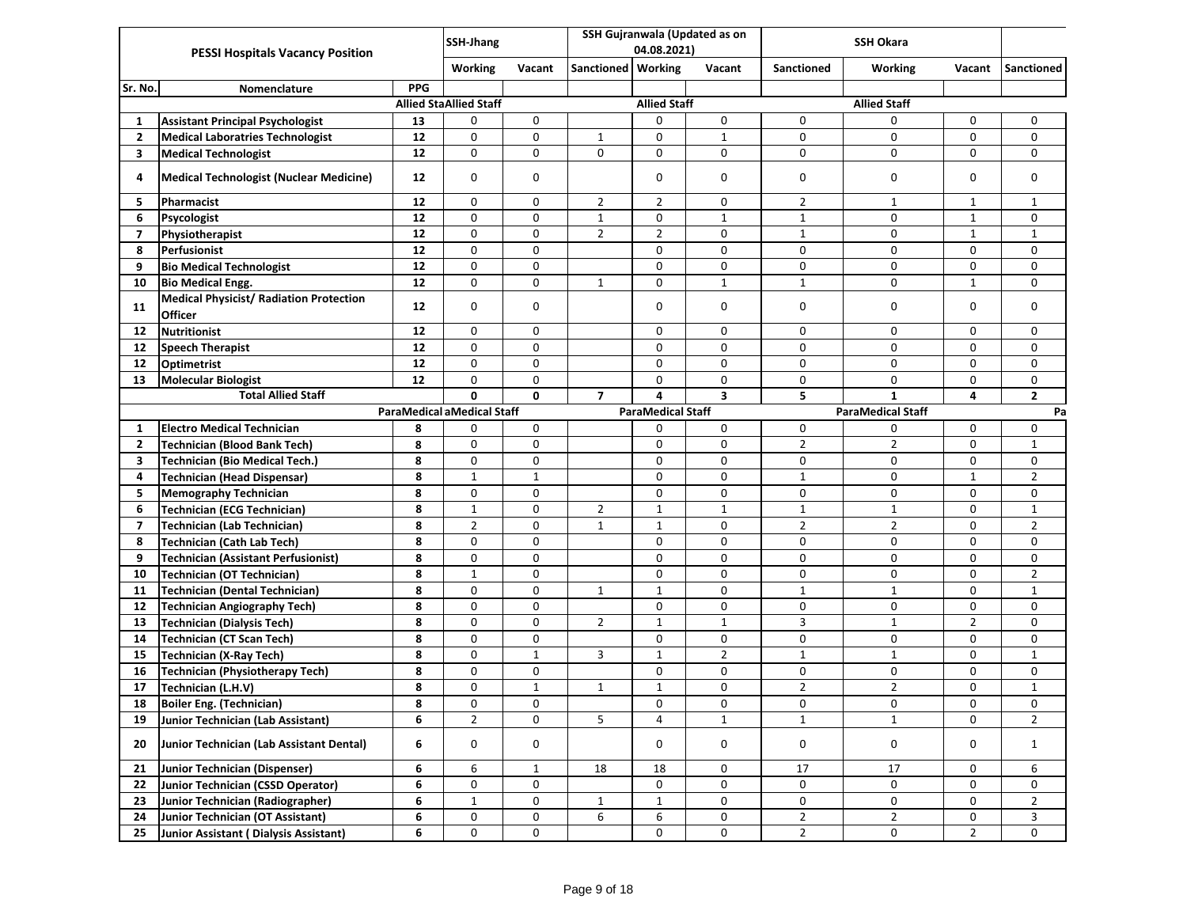|                |                                                           |            | <b>SSH-Jhang</b>                  |              |                |                          | SSH Gujranwala (Updated as on |                | <b>SSH Okara</b>         |                |                |
|----------------|-----------------------------------------------------------|------------|-----------------------------------|--------------|----------------|--------------------------|-------------------------------|----------------|--------------------------|----------------|----------------|
|                | <b>PESSI Hospitals Vacancy Position</b>                   |            |                                   |              |                | 04.08.2021)              |                               |                |                          |                |                |
|                |                                                           |            | Working                           | Vacant       | Sanctioned     | Working                  | Vacant                        | Sanctioned     | <b>Working</b>           | Vacant         | Sanctioned     |
| Sr. No.        | Nomenclature                                              | <b>PPG</b> |                                   |              |                |                          |                               |                |                          |                |                |
|                |                                                           |            | <b>Allied StaAllied Staff</b>     |              |                | <b>Allied Staff</b>      |                               |                | <b>Allied Staff</b>      |                |                |
| 1              | <b>Assistant Principal Psychologist</b>                   | 13         | 0                                 | 0            |                | 0                        | 0                             | 0              | 0                        | 0              | 0              |
| $\overline{2}$ | <b>Medical Laboratries Technologist</b>                   | 12         | 0                                 | 0            | 1              | 0                        | $\mathbf{1}$                  | 0              | 0                        | 0              | 0              |
| 3              | <b>Medical Technologist</b>                               | 12         | 0                                 | $\mathbf 0$  | $\Omega$       | 0                        | $\mathbf 0$                   | 0              | 0                        | 0              | $\Omega$       |
| 4              | <b>Medical Technologist (Nuclear Medicine)</b>            | 12         | 0                                 | 0            |                | $\mathbf 0$              | 0                             | $\mathbf 0$    | 0                        | 0              | $\mathbf 0$    |
| 5              | Pharmacist                                                | 12         | 0                                 | 0            | $\overline{2}$ | $\overline{2}$           | 0                             | $\overline{2}$ | 1                        | $\mathbf{1}$   | 1              |
| 6              | Psycologist                                               | 12         | 0                                 | 0            | $\mathbf{1}$   | 0                        | $\mathbf{1}$                  | $\mathbf{1}$   | 0                        | $\mathbf{1}$   | $\mathbf 0$    |
| 7              | Physiotherapist                                           | 12         | 0                                 | 0            | $\overline{2}$ | $\overline{2}$           | 0                             | $\mathbf{1}$   | 0                        | $\mathbf{1}$   | $\mathbf{1}$   |
| 8              | Perfusionist                                              | 12         | 0                                 | 0            |                | 0                        | $\mathbf 0$                   | 0              | 0                        | 0              | 0              |
| 9              | <b>Bio Medical Technologist</b>                           | $12$       | 0                                 | 0            |                | 0                        | 0                             | 0              | 0                        | 0              | 0              |
| 10             | <b>Bio Medical Engg.</b>                                  | 12         | 0                                 | 0            | 1              | $\mathbf 0$              | $\mathbf{1}$                  | $\mathbf{1}$   | 0                        | $\mathbf{1}$   | 0              |
| 11             | <b>Medical Physicist/ Radiation Protection</b><br>Officer | 12         | 0                                 | 0            |                | 0                        | 0                             | 0              | 0                        | 0              | 0              |
| 12             | <b>Nutritionist</b>                                       | 12         | 0                                 | 0            |                | $\mathbf 0$              | 0                             | 0              | 0                        | $\mathbf 0$    | $\Omega$       |
| 12             | <b>Speech Therapist</b>                                   | 12         | 0                                 | 0            |                | $\mathbf 0$              | 0                             | 0              | 0                        | 0              | 0              |
| 12             | Optimetrist                                               | 12         | 0                                 | 0            |                | $\mathbf 0$              | 0                             | 0              | 0                        | 0              | 0              |
| 13             | <b>Molecular Biologist</b>                                | 12         | 0                                 | 0            |                | 0                        | 0                             | 0              | 0                        | 0              | 0              |
|                | <b>Total Allied Staff</b>                                 |            | 0                                 | $\mathbf{0}$ | $\overline{7}$ | 4                        | $\overline{\mathbf{3}}$       | 5              | $\mathbf{1}$             | 4              | $\overline{2}$ |
|                |                                                           |            | <b>ParaMedical aMedical Staff</b> |              |                | <b>ParaMedical Staff</b> |                               |                | <b>ParaMedical Staff</b> |                | Pa             |
| 1              | <b>Electro Medical Technician</b>                         | 8          | 0                                 | 0            |                | 0                        | 0                             | 0              | 0                        | 0              | 0              |
| $\mathbf{2}$   | <b>Technician (Blood Bank Tech)</b>                       | 8          | 0                                 | 0            |                | $\mathbf 0$              | 0                             | $\overline{2}$ | $\overline{2}$           | 0              | 1              |
| 3              | <b>Technician (Bio Medical Tech.)</b>                     | 8          | 0                                 | 0            |                | 0                        | $\mathbf 0$                   | 0              | 0                        | 0              | $\mathbf 0$    |
| 4              | <b>Technician (Head Dispensar)</b>                        | 8          | $\mathbf 1$                       | $\mathbf{1}$ |                | $\mathbf 0$              | 0                             | $\mathbf{1}$   | 0                        | $\mathbf{1}$   | $\overline{2}$ |
| 5              | <b>Memography Technician</b>                              | 8          | 0                                 | 0            |                | 0                        | 0                             | 0              | 0                        | 0              | 0              |
| 6              | <b>Technician (ECG Technician)</b>                        | 8          | $\mathbf{1}$                      | 0            | $\overline{2}$ | $\mathbf{1}$             | $\mathbf{1}$                  | $\mathbf{1}$   | $\mathbf{1}$             | 0              | $\mathbf{1}$   |
| 7              | <b>Technician (Lab Technician)</b>                        | 8          | $\overline{2}$                    | 0            | $\mathbf{1}$   | $\mathbf{1}$             | 0                             | $\overline{2}$ | $\overline{2}$           | 0              | $\overline{2}$ |
| 8              | <b>Technician (Cath Lab Tech)</b>                         | 8          | 0                                 | 0            |                | $\mathbf 0$              | 0                             | 0              | 0                        | 0              | 0              |
| 9              | <b>Technician (Assistant Perfusionist)</b>                | 8          | 0                                 | 0            |                | 0                        | 0                             | 0              | 0                        | 0              | 0              |
| 10             | <b>Technician (OT Technician)</b>                         | 8          | $\mathbf 1$                       | 0            |                | 0                        | $\mathbf 0$                   | 0              | 0                        | 0              | $\overline{2}$ |
| 11             | <b>Technician (Dental Technician)</b>                     | 8          | 0                                 | 0            | $\mathbf{1}$   | $\mathbf{1}$             | 0                             | $\mathbf{1}$   | $\mathbf{1}$             | 0              | $\mathbf{1}$   |
| 12             | <b>Technician Angiography Tech)</b>                       | 8          | 0                                 | $\mathbf 0$  |                | $\mathbf 0$              | 0                             | 0              | 0                        | 0              | $\mathbf 0$    |
| 13             | <b>Technician (Dialysis Tech)</b>                         | 8          | 0                                 | $\pmb{0}$    | $\overline{2}$ | $\mathbf{1}$             | $\mathbf{1}$                  | 3              | $1\,$                    | $\overline{2}$ | 0              |
| 14             | <b>Technician (CT Scan Tech)</b>                          | 8          | 0                                 | 0            |                | 0                        | 0                             | 0              | 0                        | 0              | 0              |
| 15             | Technician (X-Ray Tech)                                   | 8          | 0                                 | $\mathbf 1$  | 3              | $\mathbf{1}$             | $\overline{2}$                | $\mathbf{1}$   | $1\,$                    | 0              | $\mathbf{1}$   |
| 16             | <b>Technician (Physiotherapy Tech)</b>                    | 8          | 0                                 | 0            |                | $\mathbf 0$              | 0                             | 0              | 0                        | 0              | 0              |
| 17             | Technician (L.H.V)                                        | 8          | 0                                 | $\mathbf{1}$ | 1              | $\mathbf{1}$             | 0                             | $\overline{2}$ | $\overline{2}$           | 0              | $\mathbf{1}$   |
| 18             | Boiler Eng. (Technician)                                  | 8          | 0                                 | 0            |                | 0                        | 0                             | 0              | 0                        | 0              | 0              |
| 19             | Junior Technician (Lab Assistant)                         | 6          | $\overline{2}$                    | $\mathbf 0$  | 5              | 4                        | $\mathbf{1}$                  | $\mathbf{1}$   | $\mathbf{1}$             | $\mathbf 0$    | $\overline{2}$ |
| 20             | Junior Technician (Lab Assistant Dental)                  | 6          | 0                                 | 0            |                | 0                        | 0                             | 0              | $\pmb{0}$                | 0              | $\mathbf{1}$   |
| 21             | Junior Technician (Dispenser)                             | 6          | 6                                 | $\mathbf{1}$ | 18             | 18                       | 0                             | 17             | 17                       | 0              | 6              |
| 22             | <b>Junior Technician (CSSD Operator)</b>                  | 6          | 0                                 | 0            |                | 0                        | $\mathsf{O}\xspace$           | 0              | 0                        | 0              | 0              |
| 23             | Junior Technician (Radiographer)                          | 6          | $\mathbf{1}$                      | 0            | $\mathbf{1}$   | $\mathbf{1}$             | 0                             | 0              | 0                        | 0              | $\overline{2}$ |
| 24             | Junior Technician (OT Assistant)                          | 6          | 0                                 | $\pmb{0}$    | 6              | $\boldsymbol{6}$         | $\mathsf{O}\xspace$           | $\overline{2}$ | $\overline{2}$           | 0              | $\mathbf{3}$   |
| 25             | Junior Assistant (Dialysis Assistant)                     | 6          | 0                                 | 0            |                | 0                        | 0                             | $\overline{2}$ | 0                        | $\overline{2}$ | 0              |
|                |                                                           |            |                                   |              |                |                          |                               |                |                          |                |                |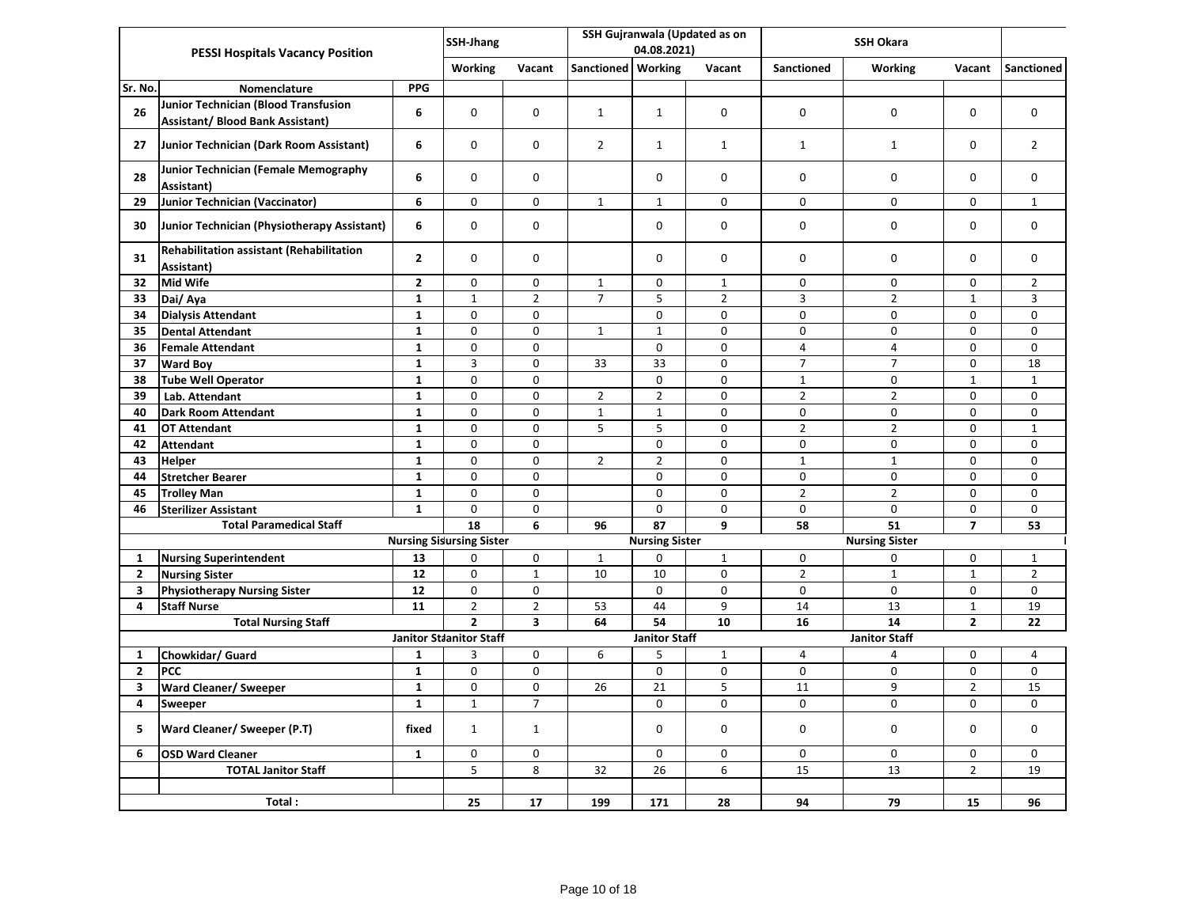|                | <b>PESSI Hospitals Vacancy Position</b>                                         |                | SSH-Jhang                       |                         |                      |                       | SSH Gujranwala (Updated as on |                   |                       |                |                |
|----------------|---------------------------------------------------------------------------------|----------------|---------------------------------|-------------------------|----------------------|-----------------------|-------------------------------|-------------------|-----------------------|----------------|----------------|
|                |                                                                                 |                |                                 |                         |                      | 04.08.2021)           |                               |                   | SSH Okara             |                |                |
|                |                                                                                 |                | Working                         | Vacant                  | Sanctioned   Working |                       | Vacant                        | <b>Sanctioned</b> | <b>Working</b>        | Vacant         | Sanctioned     |
| Sr. No.        | Nomenclature                                                                    | <b>PPG</b>     |                                 |                         |                      |                       |                               |                   |                       |                |                |
| 26             | Junior Technician (Blood Transfusion<br><b>Assistant/ Blood Bank Assistant)</b> | 6              | 0                               | 0                       | $\mathbf{1}$         | $\mathbf{1}$          | $\mathbf 0$                   | 0                 | $\mathbf 0$           | $\mathbf 0$    | 0              |
| 27             | Junior Technician (Dark Room Assistant)                                         | 6              | 0                               | 0                       | $\overline{2}$       | $\mathbf{1}$          | $\mathbf{1}$                  | $\mathbf{1}$      | $\mathbf{1}$          | 0              | $\overline{2}$ |
| 28             | Junior Technician (Female Memography<br>Assistant)                              | 6              | 0                               | 0                       |                      | $\Omega$              | 0                             | 0                 | 0                     | $\mathbf 0$    | $\mathbf 0$    |
| 29             | <b>Junior Technician (Vaccinator)</b>                                           | 6              | 0                               | 0                       | $\mathbf{1}$         | $\mathbf{1}$          | 0                             | 0                 | $\mathbf 0$           | 0              | $\mathbf{1}$   |
| 30             | Junior Technician (Physiotherapy Assistant)                                     | 6              | 0                               | 0                       |                      | 0                     | 0                             | 0                 | $\mathbf 0$           | 0              | $\mathbf 0$    |
| 31             | Rehabilitation assistant (Rehabilitation<br>Assistant)                          | $\overline{2}$ | 0                               | 0                       |                      | $\Omega$              | 0                             | $\mathbf 0$       | $\mathbf 0$           | $\Omega$       | $\Omega$       |
| 32             | <b>Mid Wife</b>                                                                 | $\mathbf{2}$   | 0                               | 0                       | $\mathbf{1}$         | 0                     | $\mathbf{1}$                  | 0                 | 0                     | 0              | $\overline{2}$ |
| 33             | Dai/Aya                                                                         | $\mathbf{1}$   | $\mathbf{1}$                    | $\overline{2}$          | $\overline{7}$       | 5                     | $\overline{2}$                | $\mathsf{3}$      | $\overline{2}$        | $\mathbf{1}$   | $\overline{3}$ |
| 34             | <b>Dialysis Attendant</b>                                                       | $\mathbf{1}$   | 0                               | 0                       |                      | 0                     | $\pmb{0}$                     | 0                 | 0                     | 0              | $\mathbf 0$    |
| 35             | <b>Dental Attendant</b>                                                         | $\mathbf{1}$   | $\mathbf 0$                     | $\mathbf 0$             | $\mathbf{1}$         | $\mathbf{1}$          | 0                             | $\mathbf 0$       | $\mathbf 0$           | 0              | $\mathbf 0$    |
| 36             | <b>Female Attendant</b>                                                         | $\mathbf{1}$   | 0                               | 0                       |                      | 0                     | 0                             | $\overline{4}$    | $\overline{4}$        | 0              | $\mathbf 0$    |
| 37             | <b>Ward Boy</b>                                                                 | $\mathbf 1$    | 3                               | 0                       | 33                   | 33                    | 0                             | $\overline{7}$    | $\overline{7}$        | 0              | 18             |
| 38             | <b>Tube Well Operator</b>                                                       | $\mathbf{1}$   | 0                               | 0                       |                      | 0                     | 0                             | $\mathbf{1}$      | 0                     | $\mathbf{1}$   | $\mathbf{1}$   |
| 39             | Lab. Attendant                                                                  | $\mathbf{1}$   | 0                               | 0                       | $\overline{2}$       | $\overline{2}$        | $\mathbf 0$                   | $\overline{2}$    | $\overline{2}$        | $\mathbf 0$    | $\mathbf 0$    |
| 40             | <b>Dark Room Attendant</b>                                                      | $\mathbf{1}$   | 0                               | 0                       | $\mathbf{1}$         | $\mathbf{1}$          | $\mathbf 0$                   | $\mathbf 0$       | $\mathbf 0$           | $\mathbf 0$    | $\Omega$       |
| 41             | <b>OT Attendant</b>                                                             | $\mathbf{1}$   | 0                               | 0                       | 5                    | 5                     | 0                             | $\overline{2}$    | $\overline{2}$        | 0              | $\mathbf{1}$   |
| 42             | <b>Attendant</b>                                                                | $\mathbf{1}$   | $\mathbf 0$                     | $\mathbf 0$             |                      | $\mathbf 0$           | 0                             | $\mathbf 0$       | $\pmb{0}$             | $\mathbf 0$    | $\mathbf 0$    |
| 43             | <b>Helper</b>                                                                   | $\mathbf{1}$   | 0                               | 0                       | $\overline{2}$       | $\overline{2}$        | 0                             | $\mathbf{1}$      | $1\,$                 | 0              | $\mathbf 0$    |
| 44             | <b>Stretcher Bearer</b>                                                         | $\mathbf{1}$   | $\pmb{0}$                       | 0                       |                      | $\mathsf{o}$          | $\mathbf 0$                   | $\pmb{0}$         | 0                     | $\pmb{0}$      | $\mathbf 0$    |
| 45             | <b>Trolley Man</b>                                                              | $\mathbf{1}$   | 0                               | 0                       |                      | 0                     | 0                             | $\overline{2}$    | $\overline{2}$        | 0              | $\mathbf 0$    |
| 46             | <b>Sterilizer Assistant</b>                                                     | $\mathbf{1}$   | 0                               | 0                       |                      | 0                     | 0                             | $\mathbf 0$       | $\Omega$              | $\mathbf 0$    | $\mathbf 0$    |
|                | <b>Total Paramedical Staff</b>                                                  |                | 18                              | 6                       | 96                   | 87                    | 9                             | 58                | 51                    | $\overline{7}$ | 53             |
|                |                                                                                 |                | <b>Nursing Sisursing Sister</b> |                         |                      | <b>Nursing Sister</b> |                               |                   | <b>Nursing Sister</b> |                |                |
| $\mathbf{1}$   | <b>Nursing Superintendent</b>                                                   | 13             | 0                               | 0                       | $\mathbf{1}$         | 0                     | $\mathbf{1}$                  | 0                 | 0                     | 0              | $\mathbf{1}$   |
| $\overline{2}$ | <b>Nursing Sister</b>                                                           | 12             | 0                               | $\mathbf{1}$            | 10                   | 10                    | $\mathsf 0$                   | $\overline{2}$    | $\mathbf 1$           | $\mathbf{1}$   | $\overline{2}$ |
| 3              | <b>Physiotherapy Nursing Sister</b>                                             | 12             | 0                               | 0                       |                      | 0                     | 0                             | 0                 | 0                     | 0              | 0              |
| 4              | <b>Staff Nurse</b>                                                              | 11             | $\overline{2}$                  | $\overline{2}$          | 53                   | 44                    | 9                             | 14                | 13                    | $\mathbf{1}$   | 19             |
|                | <b>Total Nursing Staff</b>                                                      |                | $\overline{2}$                  | $\overline{\mathbf{3}}$ | 64                   | 54                    | 10                            | 16                | 14                    | $\overline{2}$ | 22             |
|                |                                                                                 |                | <b>Janitor Staanitor Staff</b>  |                         |                      | <b>Janitor Staff</b>  |                               |                   | <b>Janitor Staff</b>  |                |                |
| 1              | Chowkidar/ Guard                                                                | $\mathbf{1}$   | 3                               | 0                       | 6                    | 5                     | $\mathbf{1}$                  | 4                 | 4                     | 0              | $\overline{4}$ |
| $\overline{2}$ | <b>PCC</b>                                                                      | $\mathbf{1}$   | 0                               | 0                       |                      | 0                     | 0                             | $\pmb{0}$         | 0                     | 0              | 0              |
| 3              | <b>Ward Cleaner/ Sweeper</b>                                                    | $\mathbf{1}$   | 0                               | 0                       | 26                   | 21                    | 5                             | 11                | 9                     | $\overline{2}$ | 15             |
| 4              | Sweeper                                                                         | $\mathbf{1}$   | $\mathbf{1}$                    | $\overline{7}$          |                      | 0                     | 0                             | 0                 | 0                     | 0              | $\Omega$       |
| 5              | Ward Cleaner/ Sweeper (P.T)                                                     | fixed          | $\mathbf{1}$                    | $\mathbf{1}$            |                      | 0                     | 0                             | 0                 | 0                     | $\mathbf 0$    | $\mathbf 0$    |
| 6              | <b>OSD Ward Cleaner</b>                                                         | $\mathbf{1}$   | 0                               | 0                       |                      | 0                     | 0                             | 0                 | 0                     | $\mathbf 0$    | 0              |
|                | <b>TOTAL Janitor Staff</b>                                                      |                | 5                               | 8                       | 32                   | 26                    | 6                             | 15                | 13                    | $\overline{2}$ | 19             |
|                |                                                                                 |                |                                 |                         |                      |                       |                               |                   |                       |                |                |
|                | Total:                                                                          |                | 25                              | 17                      | 199                  | 171                   | 28                            | 94                | 79                    | 15             | 96             |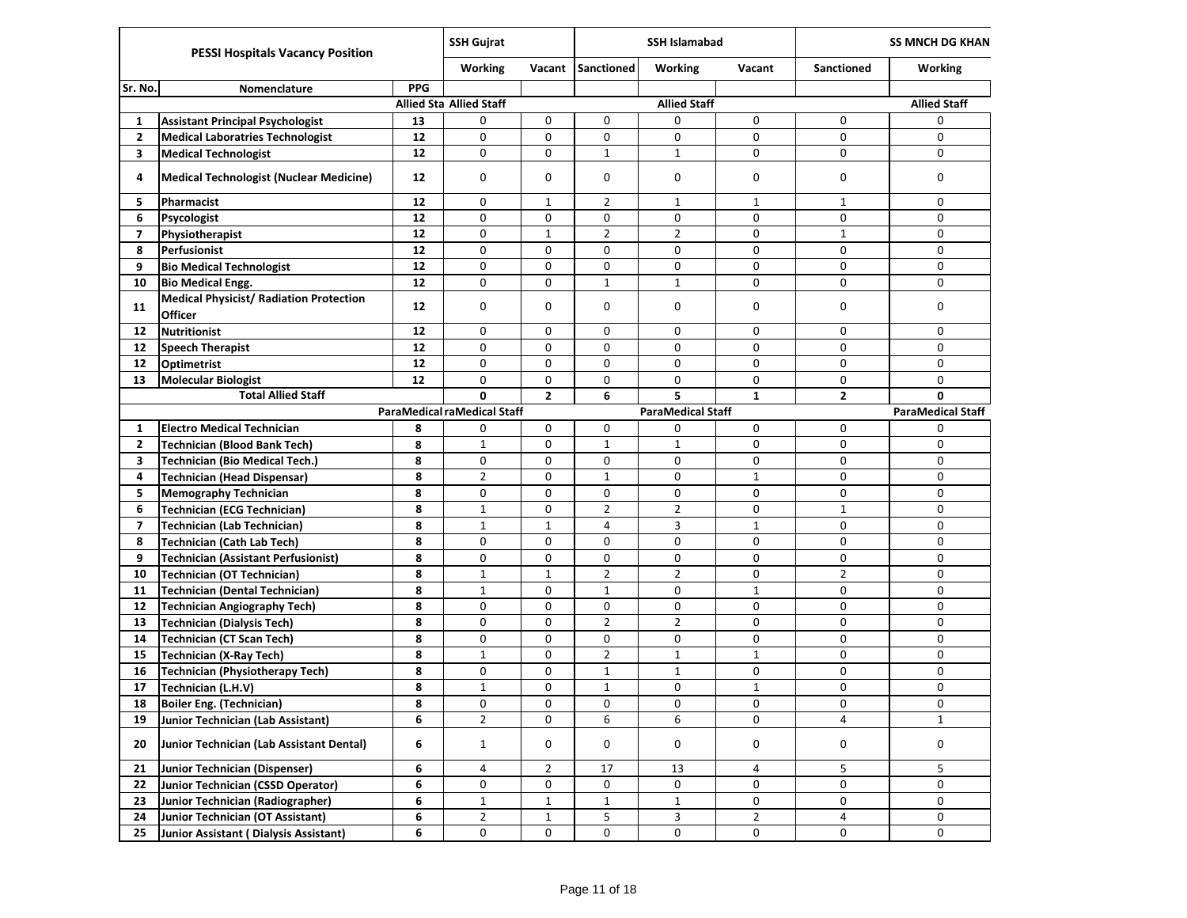|              | <b>PESSI Hospitals Vacancy Position</b>                          |            | <b>SSH Gujrat</b>              |                | <b>SSH Islamabad</b> |                          |              | <b>SS MNCH DG KHAN</b> |                          |
|--------------|------------------------------------------------------------------|------------|--------------------------------|----------------|----------------------|--------------------------|--------------|------------------------|--------------------------|
|              |                                                                  |            | Working                        | Vacant         | <b>Sanctioned</b>    | <b>Working</b>           | Vacant       | Sanctioned             | <b>Working</b>           |
| Sr. No.      | Nomenclature                                                     | <b>PPG</b> |                                |                |                      |                          |              |                        |                          |
|              |                                                                  |            | <b>Allied Sta Allied Staff</b> |                |                      | <b>Allied Staff</b>      |              |                        | <b>Allied Staff</b>      |
| 1            | <b>Assistant Principal Psychologist</b>                          | 13         | 0                              | 0              | 0                    | 0                        | 0            | 0                      | 0                        |
| $\mathbf{2}$ | <b>Medical Laboratries Technologist</b>                          | 12         | 0                              | 0              | 0                    | 0                        | 0            | 0                      | 0                        |
| 3            | <b>Medical Technologist</b>                                      | 12         | 0                              | 0              | $\mathbf{1}$         | $\mathbf{1}$             | $\mathbf 0$  | 0                      | 0                        |
| 4            | <b>Medical Technologist (Nuclear Medicine)</b>                   | 12         | 0                              | 0              | 0                    | 0                        | 0            | 0                      | 0                        |
| 5.           | Pharmacist                                                       | 12         | $\mathbf 0$                    | 1              | $\overline{2}$       | $\mathbf{1}$             | 1            | $\mathbf 1$            | 0                        |
| 6            | Psycologist                                                      | 12         | 0                              | 0              | 0                    | 0                        | 0            | 0                      | 0                        |
| 7            | Physiotherapist                                                  | 12         | 0                              | $\mathbf{1}$   | $\overline{2}$       | $\overline{2}$           | 0            | $\mathbf 1$            | 0                        |
| 8            | <b>Perfusionist</b>                                              | 12         | $\mathbf 0$                    | 0              | 0                    | 0                        | $\mathbf 0$  | 0                      | 0                        |
| 9            | <b>Bio Medical Technologist</b>                                  | 12         | 0                              | 0              | 0                    | 0                        | 0            | 0                      | 0                        |
| 10           | <b>Bio Medical Engg.</b>                                         | 12         | 0                              | 0              | $\mathbf{1}$         | $\mathbf{1}$             | $\mathbf 0$  | 0                      | 0                        |
| 11           | <b>Medical Physicist/ Radiation Protection</b><br><b>Officer</b> | 12         | $\mathbf 0$                    | 0              | 0                    | 0                        | 0            | 0                      | 0                        |
| 12           | <b>Nutritionist</b>                                              | 12         | 0                              | 0              | 0                    | 0                        | 0            | 0                      | 0                        |
| 12           | <b>Speech Therapist</b>                                          | 12         | 0                              | 0              | 0                    | 0                        | 0            | 0                      | 0                        |
| 12           | <b>Optimetrist</b>                                               | 12         | $\mathbf 0$                    | $\Omega$       | 0                    | 0                        | $\mathbf 0$  | 0                      | 0                        |
| 13           | <b>Molecular Biologist</b>                                       | 12         | 0                              | 0              | 0                    | 0                        | 0            | 0                      | 0                        |
|              | <b>Total Allied Staff</b>                                        |            | Ō                              | $\overline{2}$ | 6                    | 5                        | $\mathbf{1}$ | $\mathbf{2}$           | 0                        |
|              |                                                                  |            | ParaMedical raMedical Staff    |                |                      | <b>ParaMedical Staff</b> |              |                        | <b>ParaMedical Staff</b> |
| 1            | <b>Electro Medical Technician</b>                                | 8          | 0                              | 0              | 0                    | 0                        | 0            | 0                      | 0                        |
| $\mathbf{2}$ | <b>Technician (Blood Bank Tech)</b>                              | 8          | $\mathbf{1}$                   | 0              | $\mathbf{1}$         | $\mathbf{1}$             | 0            | 0                      | 0                        |
| 3            | <b>Technician (Bio Medical Tech.)</b>                            | 8          | 0                              | 0              | 0                    | 0                        | 0            | 0                      | 0                        |
| 4            | <b>Technician (Head Dispensar)</b>                               | 8          | $\overline{2}$                 | 0              | $\mathbf{1}$         | 0                        | $\mathbf 1$  | 0                      | 0                        |
| 5            | <b>Memography Technician</b>                                     | 8          | 0                              | 0              | 0                    | 0                        | $\mathbf 0$  | 0                      | 0                        |
| 6            | <b>Technician (ECG Technician)</b>                               | 8          | $\mathbf{1}$                   | 0              | $\overline{2}$       | $\overline{2}$           | 0            | $\mathbf 1$            | 0                        |
| 7            | <b>Technician (Lab Technician)</b>                               | 8          | 1                              | 1              | 4                    | 3                        | 1            | 0                      | 0                        |
| 8            | <b>Technician (Cath Lab Tech)</b>                                | 8          | 0                              | 0              | 0                    | 0                        | 0            | 0                      | 0                        |
| 9            | <b>Technician (Assistant Perfusionist)</b>                       | 8          | 0                              | 0              | 0                    | 0                        | 0            | 0                      | 0                        |
| 10           | <b>Technician (OT Technician)</b>                                | 8          | $\mathbf{1}$                   | $\mathbf{1}$   | $\overline{2}$       | $\overline{2}$           | 0            | $\overline{2}$         | 0                        |
| 11           | <b>Technician (Dental Technician)</b>                            | 8          | $\mathbf{1}$                   | 0              | $\mathbf{1}$         | 0                        | $\mathbf 1$  | 0                      | 0                        |
| 12           | <b>Technician Angiography Tech)</b>                              | 8          | $\mathbf 0$                    | 0              | 0                    | 0                        | 0            | 0                      | 0                        |
| 13           | <b>Technician (Dialysis Tech)</b>                                | 8          | $\mathbf 0$                    | 0              | 2                    | $\overline{2}$           | 0            | 0                      | 0                        |
| 14           | <b>Technician (CT Scan Tech)</b>                                 | 8          | 0                              | 0              | 0                    | 0                        | 0            | 0                      | 0                        |
| 15           | <b>Technician (X-Ray Tech)</b>                                   | 8          | $1\,$                          | 0              | $\overline{2}$       | $\mathbf{1}$             | $\mathbf 1$  | 0                      | 0                        |
| 16           | <b>Technician (Physiotherapy Tech)</b>                           | 8          | 0                              | 0              | $\mathbf{1}$         | $\mathbf{1}$             | 0            | 0                      | 0                        |
| 17           | Technician (L.H.V)                                               | 8          | $\mathbf{1}$                   | 0              | 1                    | 0                        | $\mathbf{1}$ | 0                      | 0                        |
| 18           | <b>Boiler Eng. (Technician)</b>                                  | 8          | 0                              | 0              | 0                    | U                        | 0            | U                      | U                        |
| 19           | Junior Technician (Lab Assistant)                                | 6          | $\overline{2}$                 | 0              | 6                    | 6                        | 0            | 4                      | $\mathbf{1}$             |
| 20           | Junior Technician (Lab Assistant Dental)                         | 6          | $\mathbf{1}$                   | 0              | 0                    | 0                        | 0            | 0                      | 0                        |
| 21           | Junior Technician (Dispenser)                                    | 6          | 4                              | $\overline{2}$ | 17                   | 13                       | 4            | 5                      | 5                        |
| 22           | Junior Technician (CSSD Operator)                                | 6          | 0                              | 0              | 0                    | 0                        | 0            | 0                      | 0                        |
| 23           | Junior Technician (Radiographer)                                 | 6          | $\mathbf{1}$                   | $\mathbf{1}$   | $\mathbf{1}$         | $\mathbf{1}$             | 0            | 0                      | 0                        |
| 24           | Junior Technician (OT Assistant)                                 | 6          | $\overline{2}$                 | $\mathbf{1}$   | 5                    | 3                        | $\mathbf{2}$ | 4                      | 0                        |
| 25           | Junior Assistant (Dialysis Assistant)                            | 6          | 0                              | 0              | 0                    | $\mathsf{O}$             | 0            | 0                      | 0                        |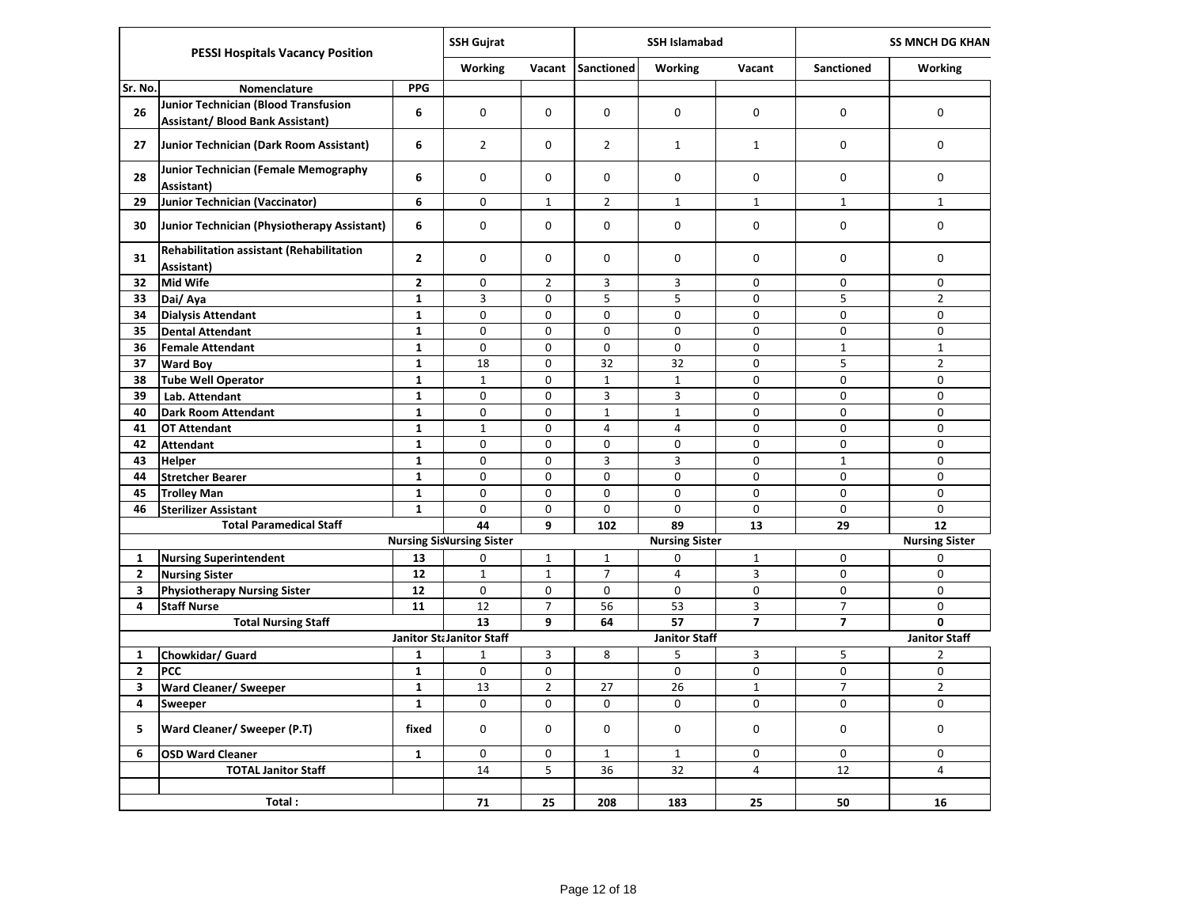|                              | <b>PESSI Hospitals Vacancy Position</b>                                                |                              | <b>SSH Gujrat</b>                |                     |                   | <b>SSH Islamabad</b>  |                  |                     | <b>SS MNCH DG KHAN</b>        |
|------------------------------|----------------------------------------------------------------------------------------|------------------------------|----------------------------------|---------------------|-------------------|-----------------------|------------------|---------------------|-------------------------------|
|                              |                                                                                        |                              | <b>Working</b>                   | Vacant              | Sanctioned        | <b>Working</b>        | Vacant           | <b>Sanctioned</b>   | Working                       |
| Sr. No.                      | Nomenclature                                                                           | <b>PPG</b>                   |                                  |                     |                   |                       |                  |                     |                               |
| 26                           | <b>Junior Technician (Blood Transfusion</b><br><b>Assistant/ Blood Bank Assistant)</b> | 6                            | 0                                | 0                   | 0                 | 0                     | 0                | 0                   | 0                             |
| 27                           | Junior Technician (Dark Room Assistant)                                                | 6                            | $\overline{2}$                   | 0                   | $\overline{2}$    | $\mathbf{1}$          | $\mathbf{1}$     | 0                   | 0                             |
| 28                           | Junior Technician (Female Memography<br>Assistant)                                     | 6                            | $\Omega$                         | 0                   | $\Omega$          | 0                     | 0                | 0                   | 0                             |
| 29                           | Junior Technician (Vaccinator)                                                         | 6                            | 0                                | $\mathbf{1}$        | $\overline{2}$    | $\mathbf{1}$          | $\mathbf 1$      | $\mathbf{1}$        | $\mathbf{1}$                  |
| 30                           | Junior Technician (Physiotherapy Assistant)                                            | 6                            | 0                                | 0                   | 0                 | 0                     | $\mathbf 0$      | $\pmb{0}$           | 0                             |
| 31                           | <b>Rehabilitation assistant (Rehabilitation</b><br>Assistant)                          | $\mathbf{2}$                 | 0                                | 0                   | 0                 | 0                     | 0                | 0                   | 0                             |
| 32                           | <b>Mid Wife</b>                                                                        | $\mathbf{2}$                 | 0                                | $\overline{2}$      | 3                 | 3                     | 0                | 0                   | 0                             |
| 33                           | Dai/ Aya                                                                               | $\mathbf{1}$                 | 3                                | 0                   | 5                 | 5                     | $\mathbf 0$      | $\overline{5}$      | $\overline{2}$                |
| 34                           | <b>Dialysis Attendant</b>                                                              | $\mathbf{1}$                 | 0                                | 0                   | 0                 | 0                     | 0                | 0                   | 0                             |
| 35                           | <b>Dental Attendant</b>                                                                | $\mathbf{1}$                 | $\Omega$                         | 0                   | $\Omega$          | 0                     | $\mathbf 0$      | 0                   | $\Omega$                      |
| 36                           | <b>Female Attendant</b>                                                                | $\mathbf{1}$                 | $\mathbf 0$                      | 0                   | $\Omega$          | 0                     | $\mathbf 0$      | $\mathbf 1$         | $\mathbf{1}$                  |
| 37                           | <b>Ward Boy</b>                                                                        | $\mathbf{1}$                 | 18                               | 0                   | 32                | 32                    | $\mathbf 0$      | 5                   | $\mathbf 2$                   |
| 38                           | <b>Tube Well Operator</b>                                                              | $\mathbf{1}$                 | $\mathbf 1$                      | 0                   | $\mathbf 1$       | $\mathbf{1}$          | $\mathbf 0$      | 0                   | 0                             |
| 39                           | Lab. Attendant                                                                         | $\mathbf{1}$                 | $\mathbf 0$                      | 0                   | $\overline{3}$    | 3                     | 0                | $\pmb{0}$           | 0                             |
| 40                           | <b>Dark Room Attendant</b>                                                             | $\mathbf{1}$                 | 0                                | 0                   | $\mathbf{1}$      | $\mathbf{1}$          | $\mathbf 0$      | 0                   | 0                             |
| 41                           | <b>OT Attendant</b>                                                                    | $\mathbf{1}$                 | $\mathbf{1}$                     | 0                   | $\overline{4}$    | $\overline{4}$        | $\mathbf 0$      | 0                   | $\mathbf 0$                   |
| 42                           | <b>Attendant</b>                                                                       | $\mathbf{1}$                 | 0                                | 0                   | 0                 | 0                     | $\mathbf 0$      | 0                   | 0                             |
| 43                           | Helper                                                                                 | $\mathbf{1}$                 | 0                                | 0                   | 3                 | 3                     | $\mathbf 0$      | $\mathbf 1$         | 0                             |
| 44                           | <b>Stretcher Bearer</b>                                                                | $\mathbf{1}$                 | $\Omega$                         | 0                   | $\Omega$          | 0                     | $\mathbf 0$      | $\mathbf 0$         | 0                             |
| 45                           | <b>Trolley Man</b>                                                                     | $\mathbf{1}$                 | 0                                | 0                   | $\Omega$          | 0                     | $\mathbf 0$      | 0                   | 0                             |
| 46                           | <b>Sterilizer Assistant</b>                                                            | $\mathbf{1}$                 | $\Omega$                         | $\Omega$            | $\Omega$          | $\Omega$              | $\Omega$         | $\Omega$            | $\Omega$                      |
|                              | <b>Total Paramedical Staff</b>                                                         |                              | 44                               | 9                   | 102               | 89                    | 13               | 29                  | 12                            |
|                              |                                                                                        |                              | <b>Nursing SisNursing Sister</b> |                     |                   | <b>Nursing Sister</b> |                  |                     | <b>Nursing Sister</b>         |
| $\mathbf{1}$                 | <b>Nursing Superintendent</b>                                                          | 13                           | 0                                | $\mathbf{1}$        | $1\,$             | 0                     | $1\,$            | 0                   | 0                             |
| $\mathbf{2}$                 | <b>Nursing Sister</b>                                                                  | 12                           | $\mathbf 1$                      | $\mathbf{1}$        | $\overline{7}$    | $\overline{4}$        | 3                | 0                   | $\mathbf 0$                   |
| 3                            | <b>Physiotherapy Nursing Sister</b>                                                    | 12                           | $\mathbf 0$                      | 0                   | $\mathbf 0$       | $\mathbf 0$           | $\mathbf 0$      | 0                   | $\mathbf 0$                   |
| 4                            | <b>Staff Nurse</b>                                                                     | 11                           | 12                               | $\overline{7}$      | 56                | 53                    | 3                | $\overline{7}$      | 0                             |
|                              | <b>Total Nursing Staff</b>                                                             |                              | 13                               | 9                   | 64                | 57                    | $\overline{7}$   | $\overline{7}$      | 0                             |
|                              |                                                                                        |                              | Janitor St. Janitor Staff        |                     |                   | <b>Janitor Staff</b>  |                  |                     | <b>Janitor Staff</b>          |
| $\mathbf{1}$                 | Chowkidar/ Guard                                                                       | $\mathbf{1}$                 | $\mathbf{1}$                     | 3                   | 8                 | 5                     | 3                | 5                   | $\overline{2}$                |
| $\mathbf{2}$                 | PCC                                                                                    | $\mathbf{1}$                 | 0                                | 0                   |                   | 0                     | 0                | 0                   | 0                             |
| $\overline{\mathbf{3}}$<br>4 | <b>Ward Cleaner/ Sweeper</b>                                                           | $\mathbf{1}$<br>$\mathbf{1}$ | 13<br>$\mathbf 0$                | $\overline{2}$<br>0 | 27<br>$\mathbf 0$ | 26<br>$\mathbf 0$     | $\mathbf 1$<br>0 | $\overline{7}$<br>0 | $\overline{2}$<br>$\mathbf 0$ |
|                              | Sweeper                                                                                |                              |                                  |                     |                   |                       |                  |                     |                               |
| 5                            | Ward Cleaner/ Sweeper (P.T)                                                            | fixed                        | 0                                | 0                   | 0                 | 0                     | 0                | 0                   | 0                             |
| 6                            | <b>OSD Ward Cleaner</b>                                                                | 1                            | $\mathbf 0$                      | 0                   | $\mathbf{1}$      | $\mathbf{1}$          | 0                | 0                   | 0                             |
|                              | <b>TOTAL Janitor Staff</b>                                                             | 14                           | 5                                | 36                  | 32                | 4                     | 12               | 4                   |                               |
|                              | Total:                                                                                 |                              | 71                               | 25                  | 208               | 183                   | 25               | 50                  | 16                            |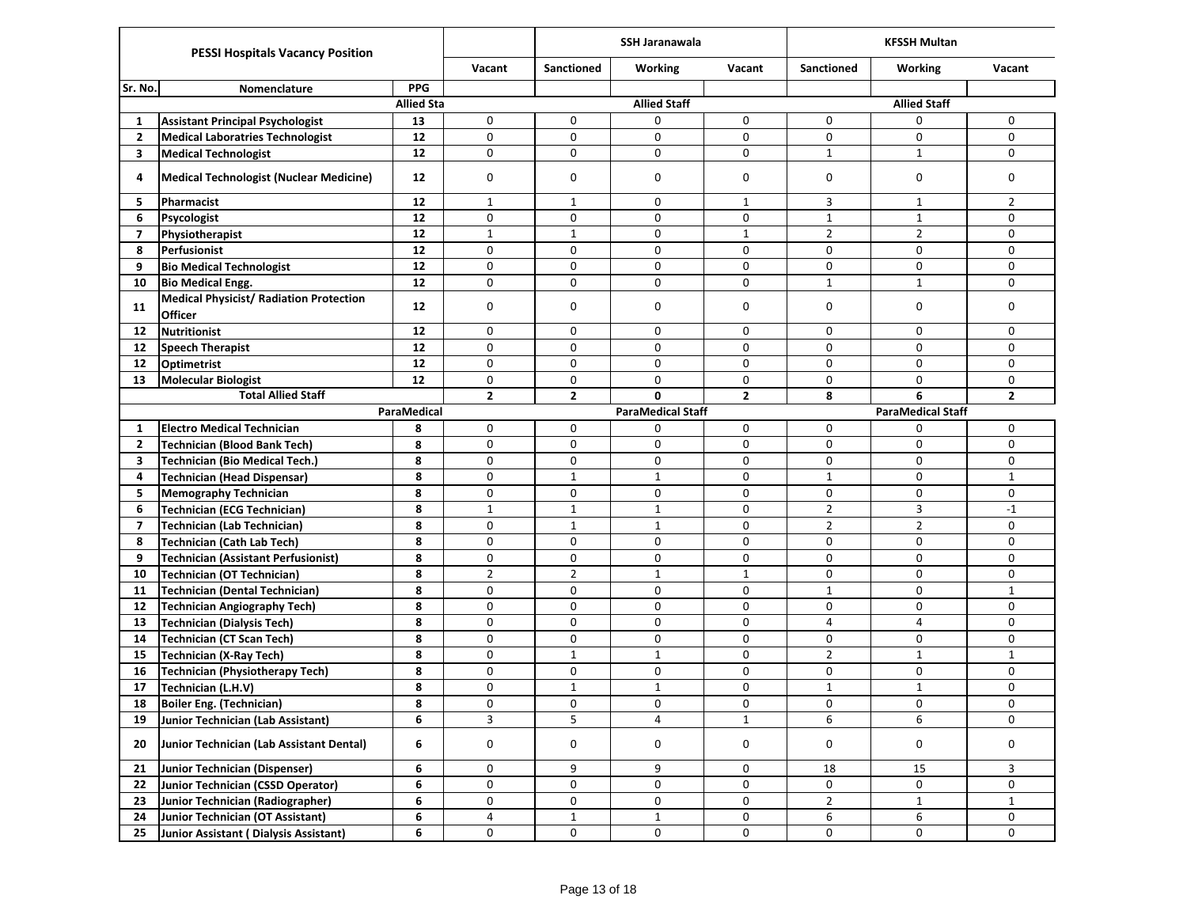| <b>PESSI Hospitals Vacancy Position</b> |                                                           |                   | <b>SSH Jaranawala</b> |                   |                          | <b>KFSSH Multan</b> |                   |                          |                |
|-----------------------------------------|-----------------------------------------------------------|-------------------|-----------------------|-------------------|--------------------------|---------------------|-------------------|--------------------------|----------------|
|                                         |                                                           |                   |                       | <b>Sanctioned</b> | <b>Working</b>           | Vacant              | <b>Sanctioned</b> | <b>Working</b>           | Vacant         |
| Sr. No.                                 | Nomenclature                                              | <b>PPG</b>        |                       |                   |                          |                     |                   |                          |                |
|                                         |                                                           | <b>Allied Sta</b> |                       |                   | <b>Allied Staff</b>      |                     |                   | <b>Allied Staff</b>      |                |
| 1                                       | <b>Assistant Principal Psychologist</b>                   | 13                | $\mathbf 0$           | 0                 | 0                        | 0                   | 0                 | 0                        | 0              |
| $\overline{2}$                          | <b>Medical Laboratries Technologist</b>                   | 12                | $\mathbf 0$           | 0                 | 0                        | 0                   | 0                 | 0                        | 0              |
| 3                                       | <b>Medical Technologist</b>                               | 12                | 0                     | 0                 | 0                        | 0                   | $\mathbf{1}$      | $\mathbf{1}$             | 0              |
| 4                                       | <b>Medical Technologist (Nuclear Medicine)</b>            | 12                | $\mathbf 0$           | 0                 | 0                        | 0                   | 0                 | 0                        | 0              |
| 5                                       | Pharmacist                                                | 12                | $\mathbf{1}$          | $\mathbf{1}$      | 0                        | $\mathbf{1}$        | 3                 | $\mathbf{1}$             | $\overline{2}$ |
| 6                                       | Psycologist                                               | 12                | $\mathbf 0$           | 0                 | 0                        | 0                   | $\mathbf 1$       | $\mathbf{1}$             | 0              |
| $\overline{7}$                          | Physiotherapist                                           | 12                | $\mathbf{1}$          | $\mathbf{1}$      | 0                        | $\mathbf{1}$        | $\overline{2}$    | $\overline{2}$           | 0              |
| 8                                       | Perfusionist                                              | 12                | $\mathbf 0$           | 0                 | 0                        | 0                   | 0                 | 0                        | 0              |
| 9                                       | <b>Bio Medical Technologist</b>                           | 12                | $\mathbf 0$           | 0                 | 0                        | 0                   | $\mathbf 0$       | 0                        | 0              |
| 10                                      | <b>Bio Medical Engg.</b>                                  | 12                | $\mathbf 0$           | 0                 | 0                        | 0                   | $\mathbf{1}$      | $\mathbf{1}$             | 0              |
| 11                                      | <b>Medical Physicist/ Radiation Protection</b><br>Officer | 12                | $\mathbf 0$           | 0                 | 0                        | 0                   | $\mathbf 0$       | 0                        | $\mathbf 0$    |
| 12                                      | <b>Nutritionist</b>                                       | 12                | $\mathbf 0$           | 0                 | 0                        | 0                   | 0                 | 0                        | 0              |
| 12                                      | <b>Speech Therapist</b>                                   | 12                | $\mathbf 0$           | 0                 | 0                        | 0                   | $\mathbf 0$       | 0                        | 0              |
| 12                                      | <b>Optimetrist</b>                                        | 12                | $\mathbf 0$           | 0                 | 0                        | 0                   | 0                 | 0                        | 0              |
| 13                                      | <b>Molecular Biologist</b>                                | 12                | $\mathbf 0$           | 0                 | 0                        | 0                   | 0                 | 0                        | 0              |
| <b>Total Allied Staff</b>               |                                                           | $\overline{2}$    | $\mathbf{2}$          | 0                 | $\overline{2}$           | 8                   | 6                 | $\overline{2}$           |                |
|                                         |                                                           | ParaMedical       |                       |                   | <b>ParaMedical Staff</b> |                     |                   | <b>ParaMedical Staff</b> |                |
| 1                                       | <b>Electro Medical Technician</b>                         | 8                 | 0                     | 0                 | 0                        | 0                   | 0                 | 0                        | 0              |
| $\overline{2}$                          | Technician (Blood Bank Tech)                              | 8                 | $\mathbf 0$           | 0                 | 0                        | 0                   | 0                 | 0                        | 0              |
| 3                                       | <b>Technician (Bio Medical Tech.)</b>                     | 8                 | $\mathbf 0$           | 0                 | 0                        | 0                   | 0                 | 0                        | 0              |
| 4                                       | <b>Technician (Head Dispensar)</b>                        | 8                 | $\mathbf 0$           | $\mathbf{1}$      | $\mathbf{1}$             | $\mathbf 0$         | $\mathbf{1}$      | 0                        | $\mathbf{1}$   |
| 5                                       | <b>Memography Technician</b>                              | 8                 | $\mathbf 0$           | 0                 | 0                        | 0                   | 0                 | 0                        | 0              |
| 6                                       | <b>Technician (ECG Technician)</b>                        | 8                 | $\mathbf{1}$          | $\mathbf{1}$      | $\mathbf{1}$             | 0                   | $\overline{2}$    | 3                        | $-1$           |
| $\overline{7}$                          | <b>Technician (Lab Technician)</b>                        | 8                 | $\mathbf 0$           | $\mathbf{1}$      | $\mathbf{1}$             | 0                   | $\overline{2}$    | $\overline{2}$           | $\mathbf 0$    |
| 8                                       | <b>Technician (Cath Lab Tech)</b>                         | 8                 | $\mathbf 0$           | 0                 | 0                        | 0                   | $\mathbf 0$       | 0                        | 0              |
| 9                                       | <b>Technician (Assistant Perfusionist)</b>                | 8                 | 0                     | 0                 | 0                        | $\mathbf 0$         | 0                 | 0                        | $\mathbf 0$    |
| 10                                      | <b>Technician (OT Technician)</b>                         | 8                 | $\overline{2}$        | $\overline{2}$    | $\mathbf{1}$             | $\mathbf{1}$        | 0                 | 0                        | 0              |
| 11                                      | <b>Technician (Dental Technician)</b>                     | 8                 | $\mathbf 0$           | 0                 | 0                        | 0                   | $\mathbf{1}$      | 0                        | $\mathbf{1}$   |
| 12                                      | <b>Technician Angiography Tech)</b>                       | 8                 | $\mathbf 0$           | 0                 | 0                        | 0                   | 0                 | 0                        | $\mathbf 0$    |
| 13                                      | <b>Technician (Dialysis Tech)</b>                         | 8                 | $\mathbf 0$           | 0                 | 0                        | 0                   | $\overline{4}$    | 4                        | 0              |
| 14                                      | <b>Technician (CT Scan Tech)</b>                          | 8                 | $\mathbf 0$           | 0                 | 0                        | $\mathbf 0$         | 0                 | 0                        | 0              |
| 15                                      | <b>Technician (X-Ray Tech)</b>                            | 8                 | $\mathbf 0$           | $\mathbf{1}$      | $\mathbf{1}$             | 0                   | $\overline{2}$    | $\mathbf{1}$             | $\mathbf{1}$   |
| 16                                      | <b>Technician (Physiotherapy Tech)</b>                    | 8                 | $\mathbf 0$           | 0                 | 0                        | 0                   | 0                 | 0                        | 0              |
| 17                                      | Technician (L.H.V)                                        | 8                 | $\mathbf 0$           | $\mathbf{1}$      | $\mathbf{1}$             | 0                   | $\mathbf{1}$      | $\mathbf{1}$             | 0              |
| 18                                      | <b>Boiler Eng. (Technician)</b>                           | 8                 | 0                     | 0                 | 0                        | $\pmb{0}$           | 0                 | 0                        | 0              |
| 19                                      | Junior Technician (Lab Assistant)                         | 6                 | 3                     | 5                 | 4                        | $\mathbf{1}$        | 6                 | 6                        | 0              |
| 20                                      | <b>Junior Technician (Lab Assistant Dental)</b>           | 6                 | 0                     | 0                 | 0                        | 0                   | 0                 | 0                        | 0              |
| 21                                      | <b>Junior Technician (Dispenser)</b>                      | 6                 | 0                     | 9                 | 9                        | 0                   | 18                | 15                       | 3              |
| 22                                      | Junior Technician (CSSD Operator)                         | 6                 | $\pmb{0}$             | 0                 | 0                        | 0                   | 0                 | 0                        | 0              |
| 23                                      | Junior Technician (Radiographer)                          | 6                 | $\pmb{0}$             | 0                 | 0                        | 0                   | $\overline{2}$    | $\mathbf 1$              | $\mathbf{1}$   |
| 24                                      | Junior Technician (OT Assistant)                          | 6                 | $\overline{a}$        | $\mathbf{1}$      | $\mathbf{1}$             | 0                   | 6                 | 6                        | 0              |
| 25                                      | Junior Assistant ( Dialysis Assistant)                    | 6                 | 0                     | 0                 | 0                        | 0                   | 0                 | 0                        | 0              |
|                                         |                                                           |                   |                       |                   |                          |                     |                   |                          |                |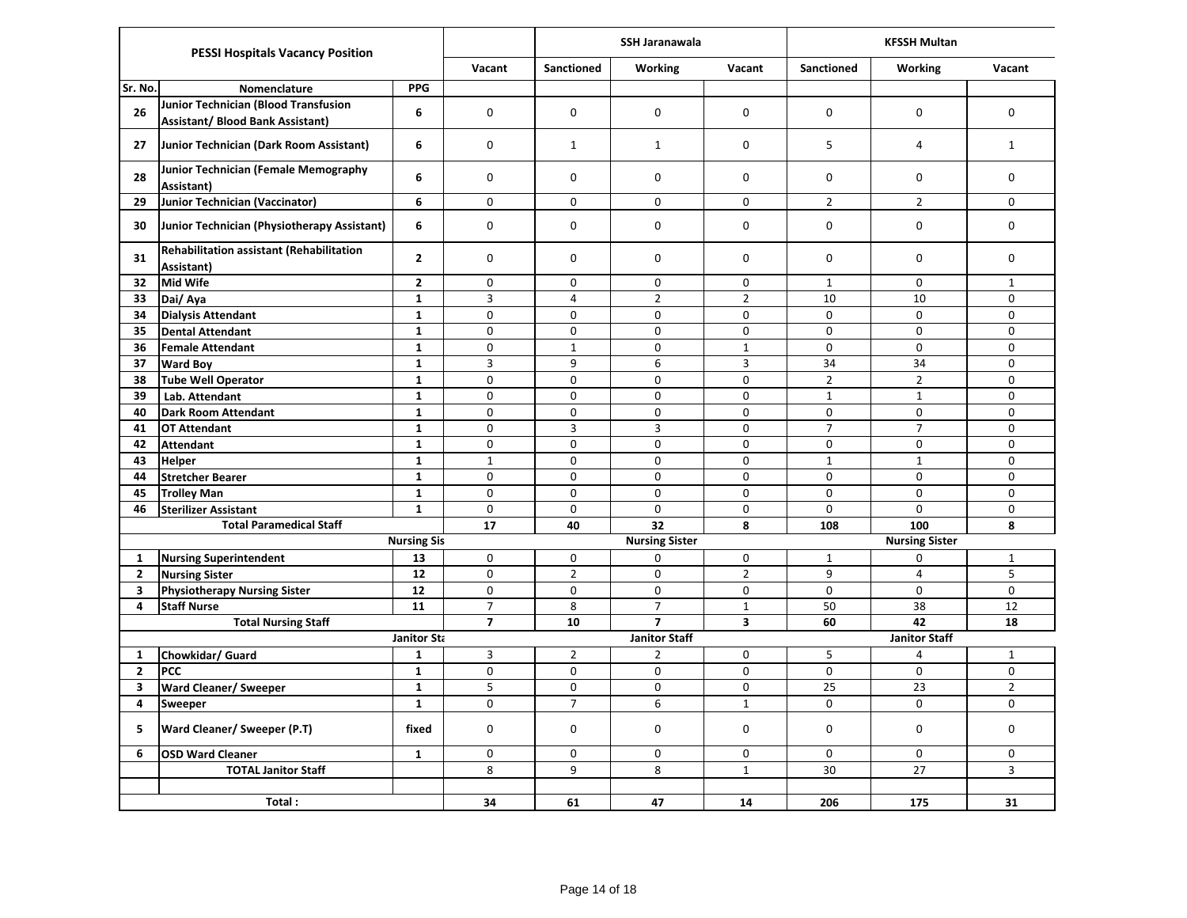| <b>PESSI Hospitals Vacancy Position</b> |                                                                          |                    |                | <b>SSH Jaranawala</b> |                       |                         | <b>KFSSH Multan</b>  |                       |                |  |
|-----------------------------------------|--------------------------------------------------------------------------|--------------------|----------------|-----------------------|-----------------------|-------------------------|----------------------|-----------------------|----------------|--|
|                                         |                                                                          |                    | Vacant         | <b>Sanctioned</b>     | <b>Working</b>        | Vacant                  | <b>Sanctioned</b>    | <b>Working</b>        | Vacant         |  |
| Sr. No.                                 | Nomenclature                                                             | <b>PPG</b>         |                |                       |                       |                         |                      |                       |                |  |
| 26                                      | Junior Technician (Blood Transfusion<br>Assistant/ Blood Bank Assistant) | 6                  | $\Omega$       | $\mathbf 0$           | 0                     | 0                       | $\mathbf 0$          | 0                     | 0              |  |
| 27                                      | Junior Technician (Dark Room Assistant)                                  | 6                  | $\Omega$       | $\mathbf{1}$          | $\mathbf{1}$          | 0                       | 5                    | $\overline{4}$        | $\mathbf{1}$   |  |
| 28                                      | Junior Technician (Female Memography<br>Assistant)                       | 6                  | $\Omega$       | 0                     | 0                     | 0                       | $\mathbf 0$          | $\Omega$              | 0              |  |
| 29                                      | Junior Technician (Vaccinator)                                           | 6                  | 0              | 0                     | 0                     | 0                       | $\overline{2}$       | $\overline{2}$        | 0              |  |
| 30                                      | Junior Technician (Physiotherapy Assistant)                              | 6                  | $\Omega$       | $\pmb{0}$             | 0                     | 0                       | $\pmb{0}$            | $\Omega$              | 0              |  |
| 31                                      | <b>Rehabilitation assistant (Rehabilitation</b><br>Assistant)            | $\overline{2}$     | 0              | 0                     | 0                     | 0                       | $\mathbf 0$          | 0                     | 0              |  |
| 32                                      | Mid Wife                                                                 | $\overline{2}$     | $\pmb{0}$      | 0                     | 0                     | 0                       | $\mathbf{1}$         | 0                     | $\mathbf{1}$   |  |
| 33                                      | Dai/ Aya                                                                 | $\mathbf{1}$       | $\overline{3}$ | $\overline{4}$        | $\overline{2}$        | $\overline{2}$          | 10                   | 10                    | $\mathbf 0$    |  |
| 34                                      | <b>Dialysis Attendant</b>                                                | $\mathbf{1}$       | $\pmb{0}$      | 0                     | 0                     | 0                       | $\mathbf 0$          | $\mathbf 0$           | 0              |  |
| 35                                      | <b>Dental Attendant</b>                                                  | $\mathbf{1}$       | $\mathbf 0$    | $\pmb{0}$             | 0                     | $\mathbf 0$             | $\mathbf 0$          | $\pmb{0}$             | 0              |  |
| 36                                      | <b>Female Attendant</b>                                                  | $\mathbf{1}$       | $\pmb{0}$      | $\mathbf{1}$          | 0                     | $\mathbf{1}$            | $\pmb{0}$            | $\mathbf 0$           | $\pmb{0}$      |  |
| 37                                      | <b>Ward Boy</b>                                                          | $\mathbf{1}$       | $\overline{3}$ | 9                     | 6                     | $\overline{3}$          | 34                   | 34                    | 0              |  |
| 38                                      | <b>Tube Well Operator</b>                                                | $\mathbf{1}$       | 0              | 0                     | 0                     | 0                       | $\overline{2}$       | $\overline{2}$        | 0              |  |
| 39                                      | Lab. Attendant                                                           | $\mathbf{1}$       | $\mathbf 0$    | $\mathbf 0$           | $\mathbf 0$           | $\mathbf 0$             | $\mathbf 1$          | $\mathbf{1}$          | $\Omega$       |  |
| 40                                      | <b>Dark Room Attendant</b>                                               | $\mathbf{1}$       | 0              | 0                     | 0                     | 0                       | $\mathbf 0$          | $\mathbf 0$           | 0              |  |
| 41                                      | <b>OT Attendant</b>                                                      | $\mathbf{1}$       | 0              | 3                     | 3                     | 0                       | $\overline{7}$       | $\overline{7}$        | 0              |  |
| 42                                      | <b>Attendant</b>                                                         | $\mathbf{1}$       | 0              | 0                     | 0                     | 0                       | $\mathbf 0$          | 0                     | 0              |  |
| 43                                      | <b>Helper</b>                                                            | $\mathbf{1}$       | $\mathbf{1}$   | 0                     | 0                     | 0                       | $\mathbf{1}$         | $\mathbf{1}$          | 0              |  |
| 44                                      | <b>Stretcher Bearer</b>                                                  | $\mathbf{1}$       | $\Omega$       | $\mathbf 0$           | 0                     | 0                       | $\Omega$             | $\mathbf 0$           | $\mathbf 0$    |  |
| 45                                      | <b>Trolley Man</b>                                                       | $\mathbf{1}$       | 0              | $\mathbf 0$           | 0                     | 0                       | $\mathbf 0$          | 0                     | 0              |  |
| 46                                      | <b>Sterilizer Assistant</b>                                              | $\mathbf{1}$       | $\Omega$       | 0                     | 0                     | $\mathbf 0$             | $\mathbf 0$          | $\Omega$              | 0              |  |
|                                         | <b>Total Paramedical Staff</b>                                           |                    | 17             | 40                    | 32                    | 8                       | 108                  | 100                   | 8              |  |
|                                         |                                                                          | <b>Nursing Sis</b> |                |                       | <b>Nursing Sister</b> |                         |                      | <b>Nursing Sister</b> |                |  |
| $\mathbf{1}$                            | <b>Nursing Superintendent</b>                                            | 13                 | $\Omega$       | 0                     | 0                     | 0                       | $\mathbf{1}$         | 0                     | $\mathbf 1$    |  |
| $\mathbf{2}$                            | <b>Nursing Sister</b>                                                    | 12                 | 0              | $\mathbf 2$           | 0                     | $\overline{2}$          | 9                    | 4                     | 5              |  |
| 3                                       | <b>Physiotherapy Nursing Sister</b>                                      | 12                 | $\pmb{0}$      | $\pmb{0}$             | 0                     | 0                       | $\Omega$             | $\Omega$              | $\Omega$       |  |
| 4                                       | <b>Staff Nurse</b>                                                       | 11                 | $\overline{7}$ | 8                     | $\overline{7}$        | $\mathbf{1}$            | 50                   | 38                    | 12             |  |
|                                         | <b>Total Nursing Staff</b>                                               |                    | $\overline{7}$ | 10                    | $\overline{7}$        | $\overline{\mathbf{3}}$ | 60                   | 42                    | 18             |  |
|                                         |                                                                          | Janitor Sta        |                | <b>Janitor Staff</b>  |                       |                         | <b>Janitor Staff</b> |                       |                |  |
| 1                                       | Chowkidar/ Guard                                                         | 1                  | 3              | $\overline{2}$        | $\overline{2}$        | 0                       | 5                    | 4                     | $\mathbf{1}$   |  |
| $\mathbf{2}$                            | PCC                                                                      | $\mathbf{1}$       | $\pmb{0}$      | $\pmb{0}$             | 0                     | 0                       | $\pmb{0}$            | 0                     | $\pmb{0}$      |  |
| 3                                       | <b>Ward Cleaner/ Sweeper</b>                                             | $\mathbf{1}$       | $\overline{5}$ | $\pmb{0}$             | 0                     | 0                       | 25                   | 23                    | $\overline{2}$ |  |
| 4                                       | Sweeper                                                                  | $\mathbf{1}$       | $\pmb{0}$      | $\overline{7}$        | 6                     | $\mathbf{1}$            | $\pmb{0}$            | $\mathbf 0$           | $\mathbf 0$    |  |
| 5                                       | Ward Cleaner/ Sweeper (P.T)                                              | fixed              | $\Omega$       | 0                     | 0                     | 0                       | $\mathbf 0$          | $\mathbf 0$           | 0              |  |
| 6                                       | <b>OSD Ward Cleaner</b>                                                  | $\mathbf{1}$       | 0              | $\mathbf 0$           | 0                     | 0                       | $\mathbf 0$          | 0                     | 0              |  |
|                                         | <b>TOTAL Janitor Staff</b>                                               |                    | 8              | 9                     | 8                     | $\mathbf{1}$            | 30                   | 27                    | $\mathbf{3}$   |  |
|                                         |                                                                          |                    |                |                       |                       |                         |                      |                       |                |  |
| Total:                                  |                                                                          |                    | 34             | 61                    | 47                    | 14                      | 206                  | 175                   | 31             |  |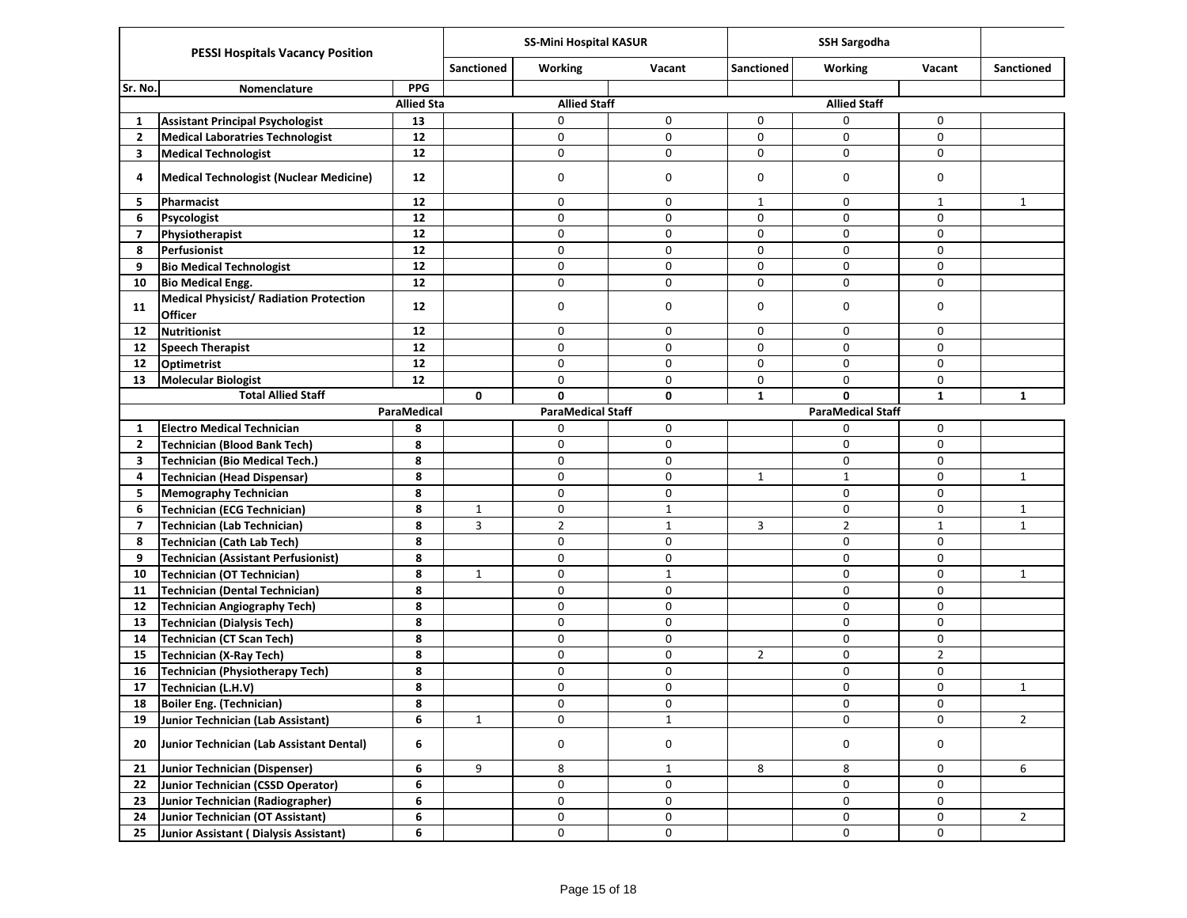|                | <b>PESSI Hospitals Vacancy Position</b>                          |                   | <b>SS-Mini Hospital KASUR</b> |                          |              | <b>SSH Sargodha</b> |                          |                |                   |
|----------------|------------------------------------------------------------------|-------------------|-------------------------------|--------------------------|--------------|---------------------|--------------------------|----------------|-------------------|
|                |                                                                  |                   | <b>Sanctioned</b>             | Working                  | Vacant       | <b>Sanctioned</b>   | <b>Working</b>           | Vacant         | <b>Sanctioned</b> |
| Sr. No.        | Nomenclature                                                     | <b>PPG</b>        |                               |                          |              |                     |                          |                |                   |
|                |                                                                  | <b>Allied Sta</b> |                               | <b>Allied Staff</b>      |              |                     | <b>Allied Staff</b>      |                |                   |
| -1             | <b>Assistant Principal Psychologist</b>                          | 13                |                               | 0                        | 0            | 0                   | 0                        | $\mathbf 0$    |                   |
| $\overline{2}$ | <b>Medical Laboratries Technologist</b>                          | 12                |                               | 0                        | 0            | 0                   | 0                        | $\mathbf 0$    |                   |
| 3              | <b>Medical Technologist</b>                                      | 12                |                               | 0                        | 0            | 0                   | 0                        | 0              |                   |
| 4              | Medical Technologist (Nuclear Medicine)                          | 12                |                               | $\mathbf 0$              | 0            | $\mathbf 0$         | 0                        | 0              |                   |
| 5              | Pharmacist                                                       | 12                |                               | 0                        | 0            | $\mathbf{1}$        | 0                        | $\mathbf{1}$   | $\mathbf{1}$      |
| 6              | Psycologist                                                      | 12                |                               | 0                        | 0            | 0                   | 0                        | $\mathbf 0$    |                   |
| $\overline{7}$ | Physiotherapist                                                  | $12\,$            |                               | 0                        | 0            | 0                   | 0                        | 0              |                   |
| 8              | Perfusionist                                                     | 12                |                               | 0                        | 0            | 0                   | 0                        | 0              |                   |
| 9              | <b>Bio Medical Technologist</b>                                  | 12                |                               | 0                        | 0            | 0                   | 0                        | 0              |                   |
| 10             | <b>Bio Medical Engg.</b>                                         | 12                |                               | $\pmb{0}$                | 0            | $\mathbf 0$         | 0                        | $\mathbf 0$    |                   |
| 11             | <b>Medical Physicist/ Radiation Protection</b><br><b>Officer</b> | $12 \overline{ }$ |                               | $\mathbf 0$              | 0            | $\mathbf 0$         | 0                        | $\mathbf 0$    |                   |
| 12             | Nutritionist                                                     | 12                |                               | 0                        | 0            | 0                   | 0                        | 0              |                   |
| 12             | Speech Therapist                                                 | 12                |                               | 0                        | 0            | 0                   | 0                        | $\mathbf 0$    |                   |
| 12             | Optimetrist                                                      | 12                |                               | 0                        | 0            | 0                   | 0                        | 0              |                   |
| 13             | <b>Molecular Biologist</b>                                       | 12                |                               | 0                        | 0            | 0                   | 0                        | $\mathbf 0$    |                   |
|                | <b>Total Allied Staff</b>                                        |                   | 0                             | $\mathbf{0}$             | 0            | $\mathbf{1}$        | 0                        | $\mathbf{1}$   | $\mathbf{1}$      |
|                |                                                                  | ParaMedical       |                               | <b>ParaMedical Staff</b> |              |                     | <b>ParaMedical Staff</b> |                |                   |
| 1              | <b>Electro Medical Technician</b>                                | 8                 |                               | $\mathbf 0$              | 0            |                     | 0                        | 0              |                   |
| $\overline{2}$ | Technician (Blood Bank Tech)                                     | 8                 |                               | 0                        | 0            |                     | 0                        | $\mathbf 0$    |                   |
| 3              | Technician (Bio Medical Tech.)                                   | 8                 |                               | 0                        | 0            |                     | 0                        | 0              |                   |
| 4              | Technician (Head Dispensar)                                      | 8                 |                               | $\mathbf 0$              | 0            | $\mathbf{1}$        | $\mathbf{1}$             | 0              | $\mathbf{1}$      |
| 5              | <b>Memography Technician</b>                                     | 8                 |                               | 0                        | 0            |                     | 0                        | $\mathbf 0$    |                   |
| 6              | Technician (ECG Technician)                                      | 8                 | $\mathbf{1}$                  | 0                        | $\mathbf{1}$ |                     | 0                        | 0              | $\mathbf{1}$      |
| 7              | Technician (Lab Technician)                                      | 8                 | 3                             | $\overline{2}$           | $\mathbf{1}$ | 3                   | $\overline{2}$           | $\mathbf{1}$   | $\mathbf{1}$      |
| 8              | Technician (Cath Lab Tech)                                       | 8                 |                               | 0                        | 0            |                     | 0                        | $\mathbf 0$    |                   |
| 9              | Technician (Assistant Perfusionist)                              | 8                 |                               | 0                        | 0            |                     | 0                        | 0              |                   |
| 10             | Technician (OT Technician)                                       | 8                 | 1                             | 0                        | $\mathbf{1}$ |                     | 0                        | 0              | $\mathbf{1}$      |
| 11             | Technician (Dental Technician)                                   | 8                 |                               | 0                        | 0            |                     | 0                        | 0              |                   |
| 12             | <b>Technician Angiography Tech)</b>                              | 8                 |                               | 0                        | 0            |                     | 0                        | 0              |                   |
| 13             | Technician (Dialysis Tech)                                       | 8                 |                               | 0                        | 0            |                     | 0                        | $\mathbf 0$    |                   |
| 14             | Technician (CT Scan Tech)                                        | 8                 |                               | 0                        | $\pmb{0}$    |                     | 0                        | 0              |                   |
| 15             | Technician (X-Ray Tech)                                          | 8                 |                               | 0                        | 0            | $\overline{2}$      | 0                        | $\overline{2}$ |                   |
| 16             | Technician (Physiotherapy Tech)                                  | 8                 |                               | 0                        | $\pmb{0}$    |                     | 0                        | 0              |                   |
| 17             | Technician (L.H.V)                                               | 8                 |                               | 0                        | 0            |                     | 0                        | 0              | 1                 |
| 18             | <b>Boiler Eng. (Technician)</b>                                  | 8                 |                               | 0                        | 0            |                     | 0                        | 0              |                   |
| 19             | Junior Technician (Lab Assistant)                                | 6                 | $\mathbf{1}$                  | $\mathsf 0$              | $\mathbf{1}$ |                     | 0                        | 0              | $\overline{2}$    |
| 20             | Junior Technician (Lab Assistant Dental)                         | 6                 |                               | 0                        | 0            |                     | 0                        | 0              |                   |
| 21             | Junior Technician (Dispenser)                                    | 6                 | 9                             | 8                        | $\mathbf{1}$ | 8                   | 8                        | 0              | 6                 |
| 22             | Junior Technician (CSSD Operator)                                | 6                 |                               | $\mathsf{O}$             | 0            |                     | 0                        | 0              |                   |
| 23             | Junior Technician (Radiographer)                                 | 6                 |                               | $\mathsf{O}\xspace$      | $\pmb{0}$    |                     | 0                        | 0              |                   |
| 24             | Junior Technician (OT Assistant)                                 | 6                 |                               | 0                        | 0            |                     | 0                        | 0              | $\overline{2}$    |
| 25             | Junior Assistant (Dialysis Assistant)                            | 6                 |                               | 0                        | $\pmb{0}$    |                     | 0                        | 0              |                   |
|                |                                                                  |                   |                               |                          |              |                     |                          |                |                   |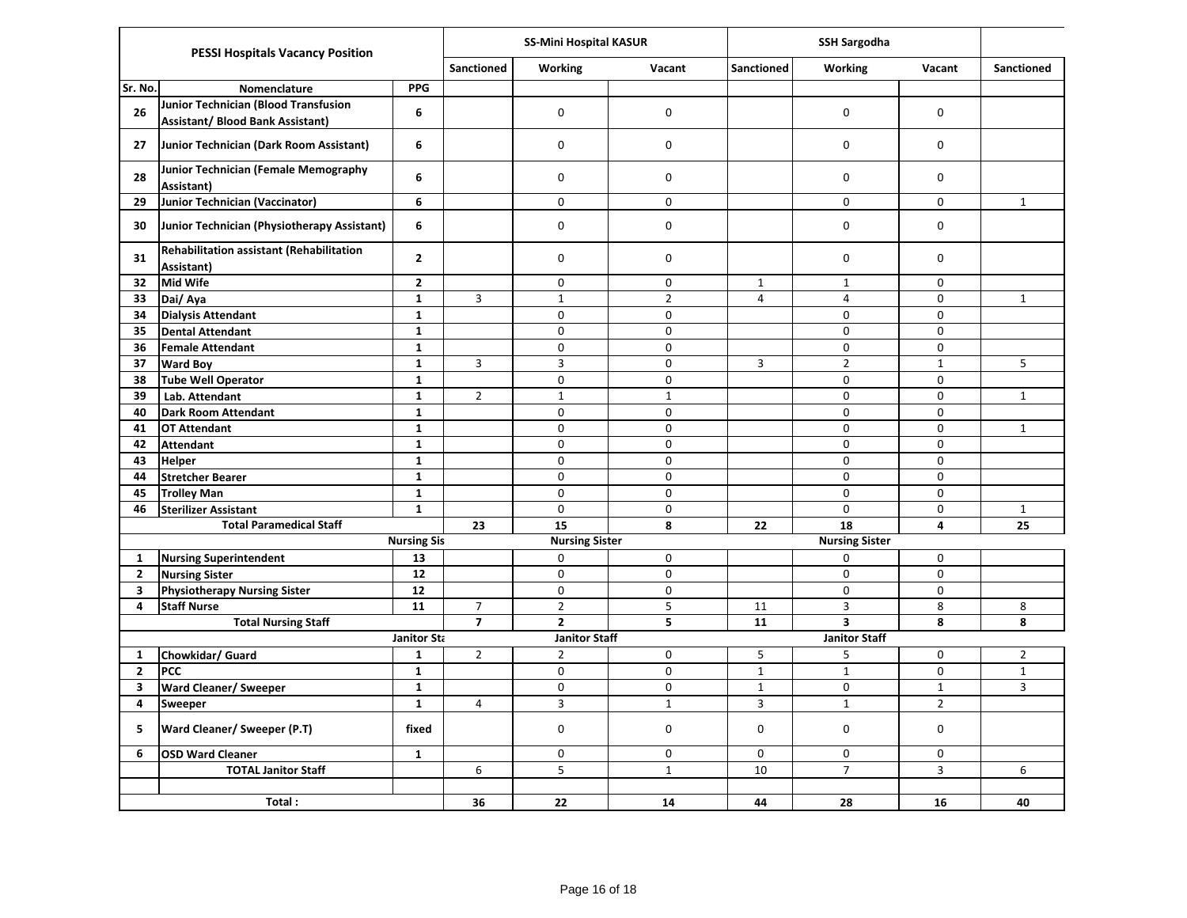| <b>PESSI Hospitals Vacancy Position</b> |                                                                                 |                    |                         | <b>SS-Mini Hospital KASUR</b> |                |                   |                       |                |                   |
|-----------------------------------------|---------------------------------------------------------------------------------|--------------------|-------------------------|-------------------------------|----------------|-------------------|-----------------------|----------------|-------------------|
|                                         |                                                                                 |                    |                         | <b>Working</b>                | Vacant         | <b>Sanctioned</b> | Working               | Vacant         | <b>Sanctioned</b> |
| Sr. No.                                 | Nomenclature                                                                    | <b>PPG</b>         |                         |                               |                |                   |                       |                |                   |
| 26                                      | Junior Technician (Blood Transfusion<br><b>Assistant/ Blood Bank Assistant)</b> | 6                  |                         | $\mathsf{O}$                  | $\mathbf 0$    |                   | $\mathsf 0$           | 0              |                   |
| 27                                      | Junior Technician (Dark Room Assistant)                                         | 6                  |                         | 0                             | $\mathbf 0$    |                   | 0                     | $\mathsf 0$    |                   |
| 28                                      | <b>Junior Technician (Female Memography</b><br>Assistant)                       | 6                  |                         | $\mathsf{O}$                  | $\mathbf 0$    |                   | 0                     | $\mathsf 0$    |                   |
| 29                                      | Junior Technician (Vaccinator)                                                  | 6                  |                         | 0                             | $\mathbf 0$    |                   | $\mathsf 0$           | $\mathbf 0$    | $\mathbf{1}$      |
| 30                                      | Junior Technician (Physiotherapy Assistant)                                     | 6                  |                         | $\mathsf{O}$                  | $\mathsf 0$    |                   | $\mathsf 0$           | $\mathsf 0$    |                   |
| 31                                      | <b>Rehabilitation assistant (Rehabilitation</b><br>Assistant)                   | $\mathbf{2}$       |                         | 0                             | $\mathbf 0$    |                   | 0                     | 0              |                   |
| 32                                      | <b>Mid Wife</b>                                                                 | $\overline{2}$     |                         | $\mathbf 0$                   | $\mathbf 0$    | $\mathbf{1}$      | $\mathbf{1}$          | $\mathbf 0$    |                   |
| 33                                      | Dai/Aya                                                                         | $\mathbf{1}$       | 3                       | $\mathbf{1}$                  | $\overline{2}$ | $\overline{4}$    | 4                     | $\mathbf 0$    | $\mathbf{1}$      |
| 34                                      | <b>Dialysis Attendant</b>                                                       | $\mathbf{1}$       |                         | $\mathsf{O}\xspace$           | $\mathsf 0$    |                   | 0                     | 0              |                   |
| 35                                      | <b>Dental Attendant</b>                                                         | ${\bf 1}$          |                         | $\mathsf 0$                   | $\mathbf 0$    |                   | 0                     | 0              |                   |
| 36                                      | Female Attendant                                                                | $\mathbf{1}$       |                         | 0                             | $\mathbf 0$    |                   | 0                     | 0              |                   |
| 37                                      | <b>Ward Boy</b>                                                                 | $\mathbf{1}$       | 3                       | 3                             | $\mathsf 0$    | 3                 | $\overline{2}$        | $\mathbf{1}$   | 5                 |
| 38                                      | <b>Tube Well Operator</b>                                                       | $\mathbf{1}$       |                         | 0                             | $\mathsf 0$    |                   | 0                     | $\Omega$       |                   |
| 39                                      | Lab. Attendant                                                                  | $\mathbf{1}$       | $\overline{2}$          | $\mathbf 1$                   | $\mathbf{1}$   |                   | 0                     | $\pmb{0}$      | $\mathbf{1}$      |
| 40                                      | <b>Dark Room Attendant</b>                                                      | $\mathbf{1}$       |                         | 0                             | $\mathsf 0$    |                   | 0                     | $\mathsf 0$    |                   |
| 41                                      | <b>OT Attendant</b>                                                             | $\mathbf{1}$       |                         | 0                             | $\mathbf 0$    |                   | $\mathsf 0$           | 0              | $\mathbf{1}$      |
| 42                                      | <b>Attendant</b>                                                                | $\mathbf{1}$       |                         | 0                             | $\mathbf 0$    |                   | 0                     | $\mathbf 0$    |                   |
| 43                                      | <b>Helper</b>                                                                   | $\mathbf{1}$       |                         | $\mathsf 0$                   | $\mathsf 0$    |                   | $\mathbf 0$           | $\mathbf 0$    |                   |
| 44                                      | <b>Stretcher Bearer</b>                                                         | $\mathbf{1}$       |                         | 0                             | $\mathbf 0$    |                   | 0                     | $\mathbf 0$    |                   |
| 45                                      | <b>Trolley Man</b>                                                              | $\mathbf{1}$       |                         | 0                             | $\mathbf 0$    |                   | 0                     | 0              |                   |
| 46                                      | <b>Sterilizer Assistant</b>                                                     | $\overline{1}$     |                         | $\overline{0}$                | $\mathbf 0$    |                   | 0                     | $\mathbf 0$    | $\mathbf{1}$      |
|                                         | <b>Total Paramedical Staff</b>                                                  |                    | 23                      | 15                            | 8              | 22                | 18                    | 4              | 25                |
|                                         |                                                                                 | <b>Nursing Sis</b> |                         | <b>Nursing Sister</b>         |                |                   | <b>Nursing Sister</b> |                |                   |
| $\mathbf{1}$                            | <b>Nursing Superintendent</b>                                                   | 13                 |                         | 0                             | $\mathbf 0$    |                   | 0                     | 0              |                   |
| $\overline{2}$                          | <b>Nursing Sister</b>                                                           | 12                 |                         | $\mathbf 0$                   | $\mathbf 0$    |                   | 0                     | 0              |                   |
| $\mathbf{3}$                            | <b>Physiotherapy Nursing Sister</b>                                             | 12                 |                         | 0                             | $\pmb{0}$      |                   | $\overline{0}$        | 0              |                   |
| 4                                       | <b>Staff Nurse</b>                                                              | 11                 | $\overline{7}$          | $\overline{2}$                | 5              | 11                | $\mathbf{3}$          | 8              | 8                 |
|                                         | <b>Total Nursing Staff</b>                                                      |                    | $\overline{\mathbf{z}}$ | $\mathbf{2}$                  | 5              | 11                | 3                     | 8              | 8                 |
|                                         |                                                                                 | <b>Janitor Sta</b> |                         | <b>Janitor Staff</b>          |                |                   | <b>Janitor Staff</b>  |                |                   |
| $\mathbf{1}$                            | Chowkidar/ Guard                                                                | $\mathbf{1}$       | $\overline{2}$          | $\overline{2}$                | 0              | 5                 | 5                     | $\mathsf 0$    | $\overline{2}$    |
| $\mathbf{2}$                            | <b>PCC</b>                                                                      | $\mathbf{1}$       |                         | 0                             | $\mathsf 0$    | $\mathbf 1$       | $\mathbf 1$           | $\mathsf 0$    | $\mathbf{1}$      |
| 3                                       | <b>Ward Cleaner/ Sweeper</b>                                                    | $\mathbf{1}$       |                         | 0                             | $\pmb{0}$      | $1\,$             | 0                     | $\mathbf{1}$   | $\overline{3}$    |
| 4                                       | Sweeper                                                                         | $\mathbf{1}$       | 4                       | $\overline{\mathbf{3}}$       | $\mathbf{1}$   | $\mathbf{3}$      | $\mathbf{1}$          | $\overline{2}$ |                   |
| 5                                       | <b>Ward Cleaner/ Sweeper (P.T)</b>                                              | fixed              |                         | 0                             | $\mathbf 0$    | $\mathbf 0$       | 0                     | 0              |                   |
| 6                                       | <b>OSD Ward Cleaner</b>                                                         | $\mathbf{1}$       |                         | $\mathbf 0$                   | $\mathbf 0$    | $\mathbf 0$       | 0                     | $\mathbf 0$    |                   |
|                                         | <b>TOTAL Janitor Staff</b>                                                      |                    | 6                       | 5                             | $\mathbf{1}$   | 10                | $\overline{7}$        | $\overline{3}$ | 6                 |
|                                         |                                                                                 |                    |                         |                               |                |                   |                       |                |                   |
|                                         | Total:                                                                          |                    | 36                      | 22                            | 14             | 44                | 28                    | 16             | 40                |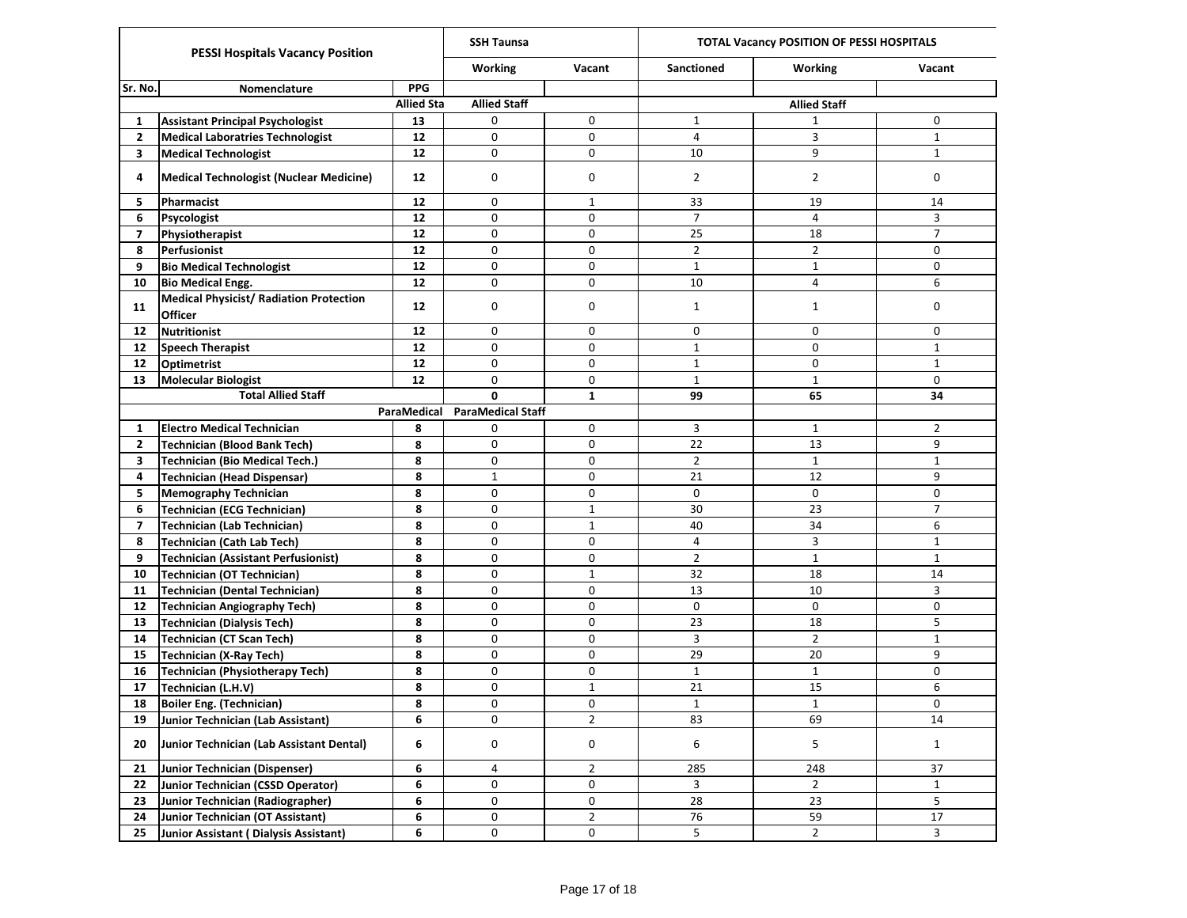| <b>PESSI Hospitals Vacancy Position</b> |                                                           |                   | <b>SSH Taunsa</b>        |                | TOTAL Vacancy POSITION OF PESSI HOSPITALS |                     |                |  |  |
|-----------------------------------------|-----------------------------------------------------------|-------------------|--------------------------|----------------|-------------------------------------------|---------------------|----------------|--|--|
|                                         |                                                           |                   | <b>Working</b>           | Vacant         | <b>Sanctioned</b>                         | Working             | Vacant         |  |  |
| Sr. No.                                 | <b>Nomenclature</b>                                       | <b>PPG</b>        |                          |                |                                           |                     |                |  |  |
|                                         |                                                           | <b>Allied Sta</b> | <b>Allied Staff</b>      |                |                                           | <b>Allied Staff</b> |                |  |  |
| 1                                       | <b>Assistant Principal Psychologist</b>                   | 13                | 0                        | 0              | $\mathbf{1}$                              | 1                   | 0              |  |  |
| 2                                       | <b>Medical Laboratries Technologist</b>                   | 12                | 0                        | 0              | $\overline{4}$                            | 3                   | $\mathbf{1}$   |  |  |
| 3                                       | <b>Medical Technologist</b>                               | 12                | 0                        | 0              | 10                                        | 9                   | $\mathbf{1}$   |  |  |
| 4                                       | <b>Medical Technologist (Nuclear Medicine)</b>            | 12                | 0                        | 0              | $\overline{2}$                            | 2                   | 0              |  |  |
| 5                                       | Pharmacist                                                | 12                | 0                        | $\mathbf{1}$   | 33                                        | 19                  | 14             |  |  |
| 6                                       | Psycologist                                               | 12                | 0                        | 0              | $\overline{7}$                            | 4                   | 3              |  |  |
| $\overline{7}$                          | Physiotherapist                                           | 12                | 0                        | 0              | 25                                        | 18                  | $\overline{7}$ |  |  |
| 8                                       | Perfusionist                                              | 12                | 0                        | 0              | $\overline{2}$                            | $\overline{2}$      | 0              |  |  |
| 9                                       | <b>Bio Medical Technologist</b>                           | 12                | 0                        | 0              | $\mathbf{1}$                              | $\mathbf{1}$        | 0              |  |  |
| 10                                      | <b>Bio Medical Engg.</b>                                  | 12                | 0                        | 0              | 10                                        | 4                   | 6              |  |  |
| 11                                      | <b>Medical Physicist/ Radiation Protection</b><br>Officer | 12                | 0                        | 0              | 1                                         | $\mathbf{1}$        | 0              |  |  |
| 12                                      | <b>Nutritionist</b>                                       | 12                | 0                        | 0              | 0                                         | 0                   | 0              |  |  |
| 12 <sup>2</sup>                         | Speech Therapist                                          | 12                | 0                        | 0              | $\mathbf{1}$                              | 0                   | $\mathbf{1}$   |  |  |
| 12 <sup>2</sup>                         | Optimetrist                                               | 12                | 0                        | 0              | $\mathbf{1}$                              | 0                   | $\mathbf{1}$   |  |  |
| 13                                      | <b>Molecular Biologist</b>                                | 12                | 0                        | 0              | $\mathbf{1}$                              | $\mathbf{1}$        | 0              |  |  |
|                                         | <b>Total Allied Staff</b>                                 | 0                 | 1                        | 99             | 65                                        | 34                  |                |  |  |
|                                         |                                                           | ParaMedical       | <b>ParaMedical Staff</b> |                |                                           |                     |                |  |  |
| 1                                       | <b>Electro Medical Technician</b>                         | 8                 | 0                        | 0              | 3                                         | $\mathbf{1}$        | $\overline{2}$ |  |  |
| $\mathbf{2}$                            | <b>Technician (Blood Bank Tech)</b>                       | 8                 | 0                        | 0              | 22                                        | 13                  | 9              |  |  |
| 3                                       | <b>Technician (Bio Medical Tech.)</b>                     | 8                 | 0                        | 0              | $\overline{2}$                            | $\mathbf{1}$        | $\mathbf{1}$   |  |  |
| 4                                       | <b>Technician (Head Dispensar)</b>                        | 8                 | $\mathbf{1}$             | 0              | 21                                        | 12                  | 9              |  |  |
| 5                                       | <b>Memography Technician</b>                              | 8                 | 0                        | 0              | 0                                         | 0                   | 0              |  |  |
| 6                                       | <b>Technician (ECG Technician)</b>                        | 8                 | 0                        | $\mathbf{1}$   | 30                                        | 23                  | $\overline{7}$ |  |  |
| $\overline{\mathbf{z}}$                 | <b>Technician (Lab Technician)</b>                        | 8                 | 0                        | $\mathbf{1}$   | 40                                        | 34                  | 6              |  |  |
| 8                                       | <b>Technician (Cath Lab Tech)</b>                         | 8                 | 0                        | 0              | $\overline{4}$                            | 3                   | $\mathbf{1}$   |  |  |
| 9                                       | <b>Technician (Assistant Perfusionist)</b>                | 8                 | 0                        | 0              | $\overline{2}$                            | $\mathbf{1}$        | $\mathbf{1}$   |  |  |
| 10                                      | <b>Technician (OT Technician)</b>                         | 8                 | 0                        | $\mathbf{1}$   | 32                                        | 18                  | 14             |  |  |
| 11                                      | <b>Technician (Dental Technician)</b>                     | 8                 | 0                        | 0              | 13                                        | 10                  | 3              |  |  |
| $12 \overline{ }$                       | Technician Angiography Tech)                              | 8                 | 0                        | 0              | 0                                         | 0                   | 0              |  |  |
| 13                                      | <b>Technician (Dialysis Tech)</b>                         | 8                 | 0                        | 0              | 23                                        | 18                  | 5              |  |  |
| 14                                      | <b>Technician (CT Scan Tech)</b>                          | 8                 | 0                        | 0              | 3                                         | $\overline{2}$      | $\mathbf{1}$   |  |  |
| 15                                      | <b>Technician (X-Ray Tech)</b>                            | 8                 | 0                        | 0              | 29                                        | 20                  | 9              |  |  |
| 16                                      | <b>Technician (Physiotherapy Tech)</b>                    | 8                 | 0                        | 0              | $\mathbf{1}$                              | $\mathbf{1}$        | 0              |  |  |
| 17                                      | Technician (L.H.V)                                        | 8                 | 0                        | $\mathbf{1}$   | 21                                        | 15                  | 6              |  |  |
| 18                                      | <b>Boiler Eng. (Technician)</b>                           | 8                 | 0                        | 0              | $\mathbf 1$                               | $\mathbf 1$         | 0              |  |  |
| 19                                      | Junior Technician (Lab Assistant)                         | 6                 | 0                        | $\overline{2}$ | 83                                        | 69                  | 14             |  |  |
| 20                                      | Junior Technician (Lab Assistant Dental)                  | 6                 | 0                        | 0              | 6                                         | 5                   | $\mathbf{1}$   |  |  |
| 21                                      | Junior Technician (Dispenser)                             | 6                 | 4                        | $\overline{2}$ | 285                                       | 248                 | 37             |  |  |
| 22                                      | Junior Technician (CSSD Operator)                         | 6                 | 0                        | 0              | 3                                         | $\overline{2}$      | $\mathbf{1}$   |  |  |
| 23                                      | Junior Technician (Radiographer)                          | 6                 | 0                        | 0              | 28                                        | 23                  | 5              |  |  |
| 24                                      | Junior Technician (OT Assistant)                          | 6                 | 0                        | 2              | 76                                        | 59                  | 17             |  |  |
| 25                                      | Junior Assistant (Dialysis Assistant)                     | 6                 | 0                        | 0              | 5                                         | $\overline{2}$      | 3              |  |  |